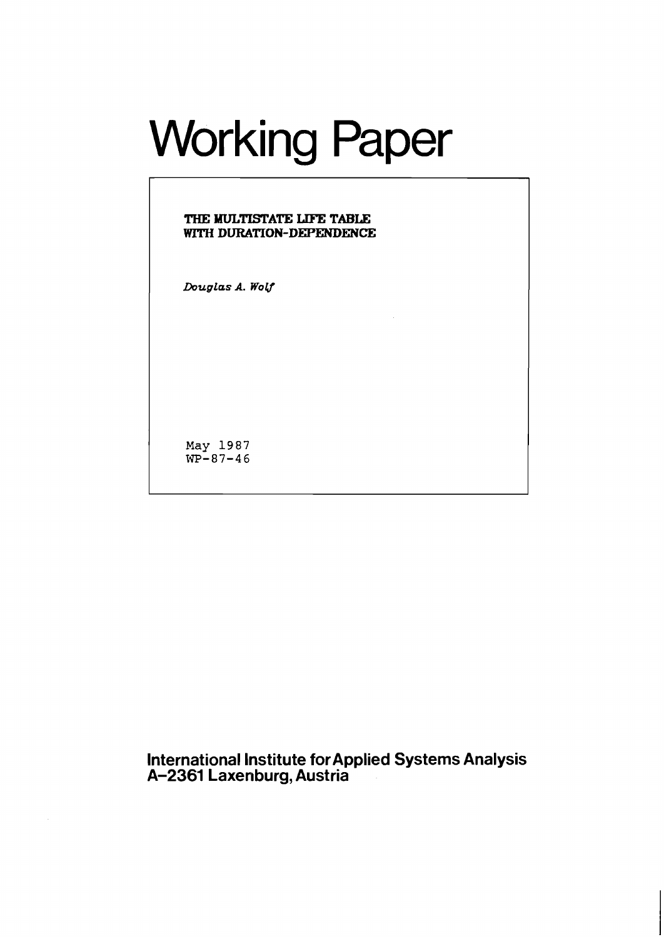# Working Paper

# **THE MULTISTATE** IlFE **TABLE**  WITH **DURATION-DEPENDENCE**

*Douglas* **A. WolJ** 

**May 1987**   $WP-87-46$ 

**International Institute for Applied Systems Analysis A-2361 Laxenburg, Austria**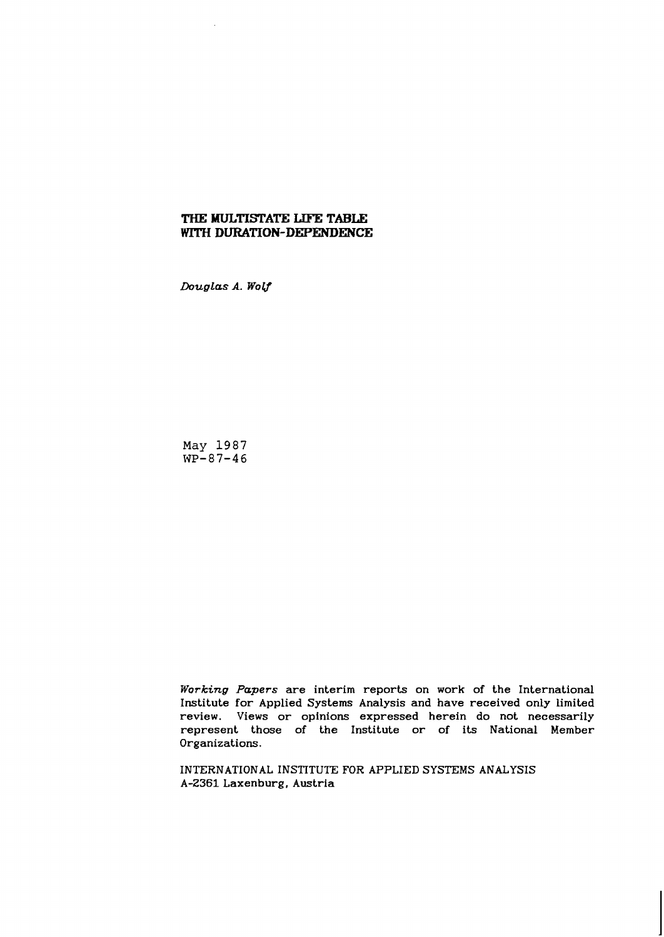# **THE MULTISTATE LIFE TABLE** WITH **DURATION-DEPENDENCE**

Douglas A. Wolf

**May 1987 WP-87-46** 

**Working Papers are interim reports on work of the International Institute for Applied Systems Analysis and have received only limited review. Views or opinions expressed herein do not necessarily represent those of the Institute or of its National Member Organizations.** 

**INTERNATIONAL INSTITUTE FOR APPLIED SYSTEMS ANALYSIS A-2361 Laxenburg, Austria**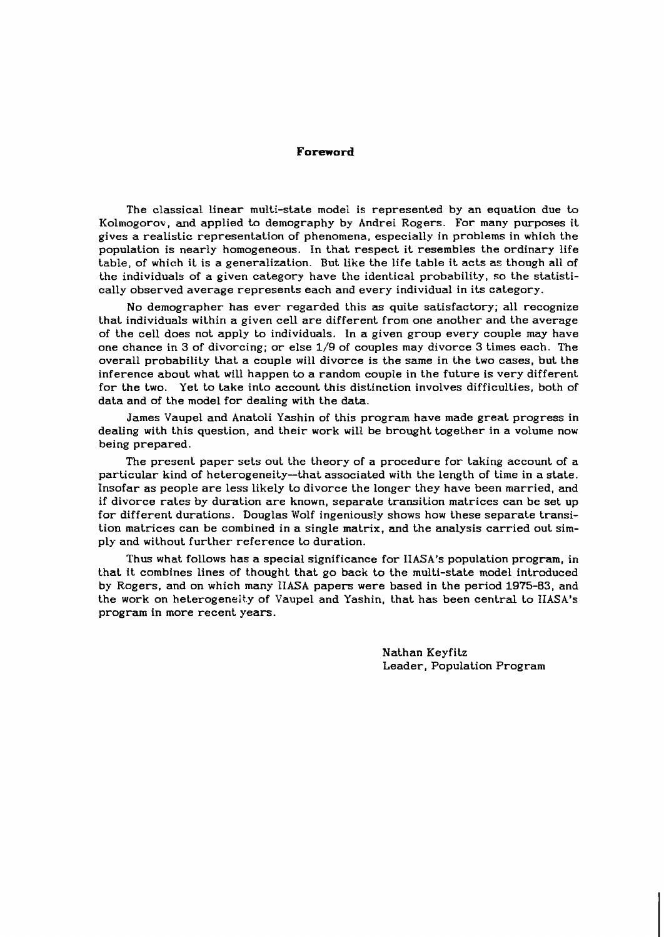#### Foreword

The classical linear multi-state model is represented by an equation due to Kolmogorov, and applied to demography by Andrei Rogers. For many purposes it gives a realistic representation of phenomena, especially in problems in which the population is nearly homogeneous. In that respect it resembles the ordinary life table, of which it is a generalization. But like the life table it acts as though all of the individuals of a given category have the identical probability, so the statistically observed average represents each and every individual in its category.

No demographer has ever regarded this **as** quite satisfactory; all recognize that individuals within a given cell are different from one another and the average of the cell does not apply to individuals. In a given group every couple may have one chance in 3 of divorcing; or else **lj9** of couples may divorce 3 times each. The overall probability that a couple will divorce is the same in the two cases, but the inference about what will happen **to** a random couple in the future is very different for the two. Yet to take into account this distinction involves difficulties, both of data and of the model for dealing with the data.

James Vaupel and Anatoli Yashin of this program have made great progress in dealing with this question, and their work will be brought together in a volume now being prepared.

The present paper sets out the theory of a procedure for taking account of a particular kind of heterogeneity-that associated with the length of time in a state. Insofar as people are less likely to divorce the longer they have been married, and if divorce rates by duration are known, separate transition matrices can be set up for different durations. Douglas Wolf ingeniously shows how these separate transition matrices can be combined in a single matrix, and the analysis carried out simply and without further reference to duration.

Thus what follows has a special significance for IIASA's population program, in that it combines lines of thought that go back to the multi-state model introduced by Rogers, and on which many IIASA papers were based in the period **1975-83,** and the work on heterogenelky of Vaupel and Yashin, that has been central to **IIASA's**  program in more recent years.

> Nathan Keyfitz Leader, Population Program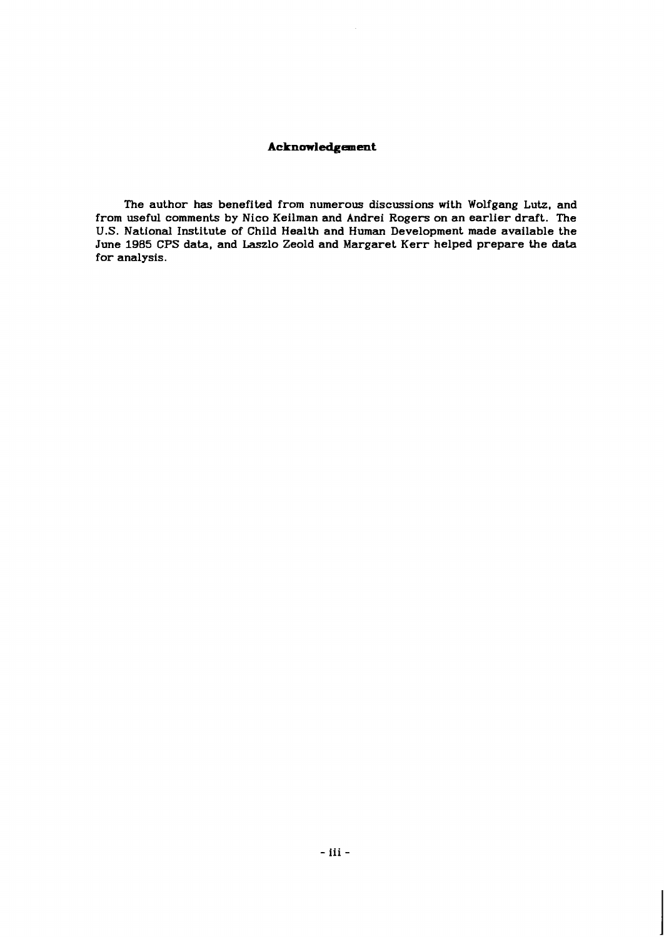# **Acknowledgement**

The author has benefited from numerous discussions with Wolfgang Lutz, and from useful comments by Nico Keilman and Andrei Rogers on an earlier draft. The U.S. National Institute of Child Health and Human Development made available the June 1985 CPS data, and Laszlo Zeold and Margaret Kerr helped prepare the data for analysis.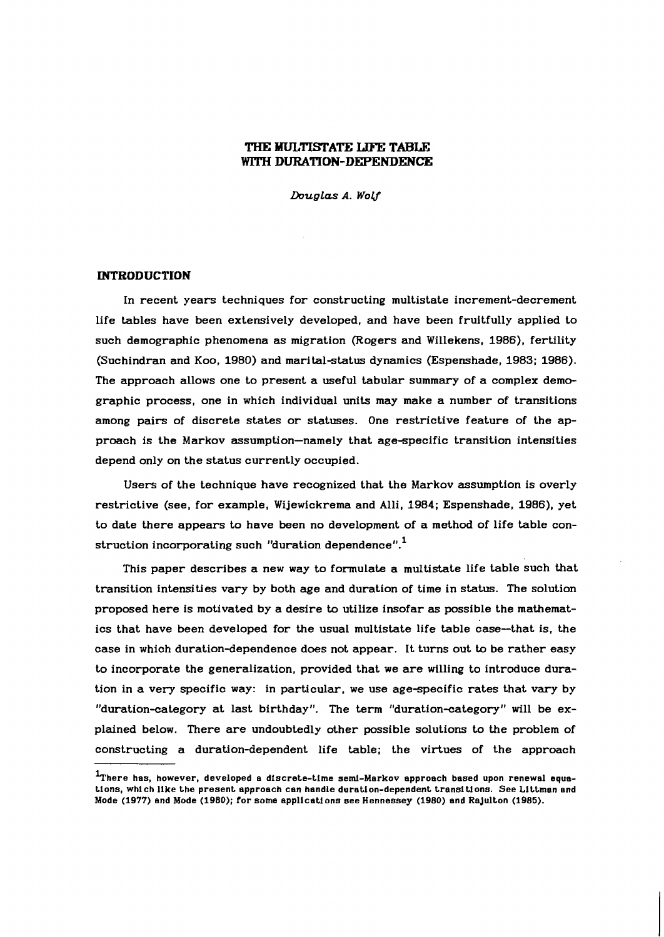# **THE BIULTISTATE LIFE TABLE**  WITH **DURATION-DEPENDENCE**

Douglas A. Wolf

## **INTRODUCTION**

In recent years techniques for constructing multistate increment-decrement life tables have been extensively developed, and have been fruitfully applied to such demographic phenomena as migration (Rogers and Willekens, 1986), fertility (Suchindran and Koo, 1980) and marital-status dynamics (Espenshade, 1983; 1986). The approach allows one to present a useful tabular summary of a complex demographic process, one in which individual units may make a number of transitions among pairs of discrete states or statuses. One restrictive feature of the approach is the Markov assumption-namely that age-specific transition intensities depend only on the status currently occupied.

Users of the technique have recognized that the Markov assumption is overly restrictive (see, for example, Wijewickrema and Alli, 1984; Espenshade, 1986), yet to date there appears to have been no development of a method of life table construction incorporating such "duration dependence". $^{1}$ 

This paper describes a new way to formulate a multistate life table such that transition intensities vary by both age and duration of time in status. The solution proposed here is motivated by a desire to utilize insofar **as** possible the mathematics that have been developed for the usual multistate life table case-that is, the case in which duration-dependence does not appear. It turns out to be rather easy to incorporate the generalization, provided that we are willing to introduce duration in a very specific way: in particular, we use age-specific rates that vary by "duration-category at last birthday". The term "duration-category" will be explained below. There are undoubtedly other possible solutions to the problem of constructing a duration-dependent life table; the virtues of the approach

<sup>&</sup>lt;sup>1</sup>There has, however, developed a discrete-time semi-Markov approach based upon renewal equa**tions, which like the present approach can handle duration-dependent transitions. See Littman and Mode** (1977) **and Mode** (1980); **for some applications see Hennessey** (1980) **and Rajulton** (1985).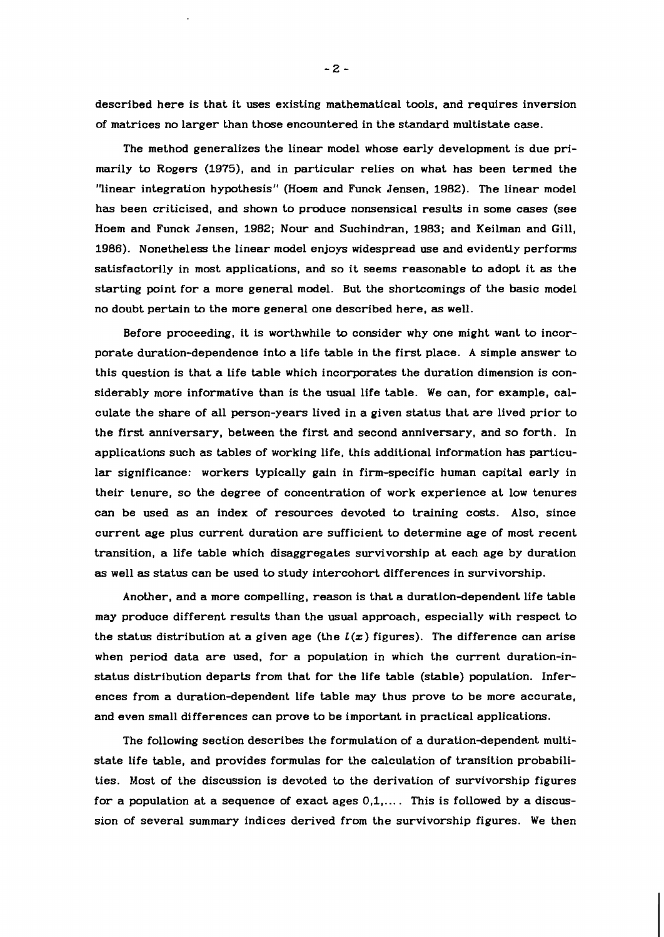described here is that it uses existing mathematical tools, and requires inversion of matrices no larger than those encountered in the standard multistate case.

The method generalizes the linear model whose early development is due primarily to Rogers (1975), and in particular relies on what has been termed the "linear integration hypothesis" (Hoem and Funck Jensen, 1982). The linear model has been criticised, and shown to produce nonsensical results in some cases (see Hoem and Funck Jensen, 1982; Nour and Suchindran, 1983; and Keilman and Gill, 1986). Nonetheless the linear model enjoys widespread use and evidently performs satisfactorily in most applications, and so it seems reasonable to adopt it **as** the starting point for a more general model. But the shortcomings of the basic model no doubt pertain to the more general one described here, as well.

Before proceeding, it is worthwhile to consider why one might want to incorporate duration-dependence into a life table in the first place. A simple answer to this question is that a life table which incorporates the duration dimension is considerably more informative than is the usual life table. We can, for example, calculate the share of all person-years lived in a given status that are lived prior to the first anniversary, between the first and second anniversary, and so forth. In applications such as tables of working life, this additional information has particular significance: workers typically gain in firm-specific human capital early in their tenure, so the degree of concentration of work experience at low tenures can be used as an index of resources devoted to training costs. Also, since current age plus current duration are sufficient to determine age of most recent transition, a life table which disaggregates survivorship at each age by duration as well as status can be used to study intercohort differences in survivorship.

Another, and a more compelling, reason is that a duration-dependent life table may produce different results than the usual approach, especially with respect to the status distribution at a given age (the  $L(x)$  figures). The difference can arise when period data are used, for a population in which the current duration-instatus distribution departs from that for the life table (stable) population. Inferences from a duration-dependent life table may thus prove to be more accurate, and even small differences can prove to be important in practical applications.

The following section describes the formulation of a duration-dependent multistate life table, and provides formulas for the calculation of transition probabilities. Most of the discussion is devoted to the derivation of survivorship figures for a population at a sequence of exact ages  $0,1,...$  This is followed by a discussion of several summary indices derived from the survivorship figures. We then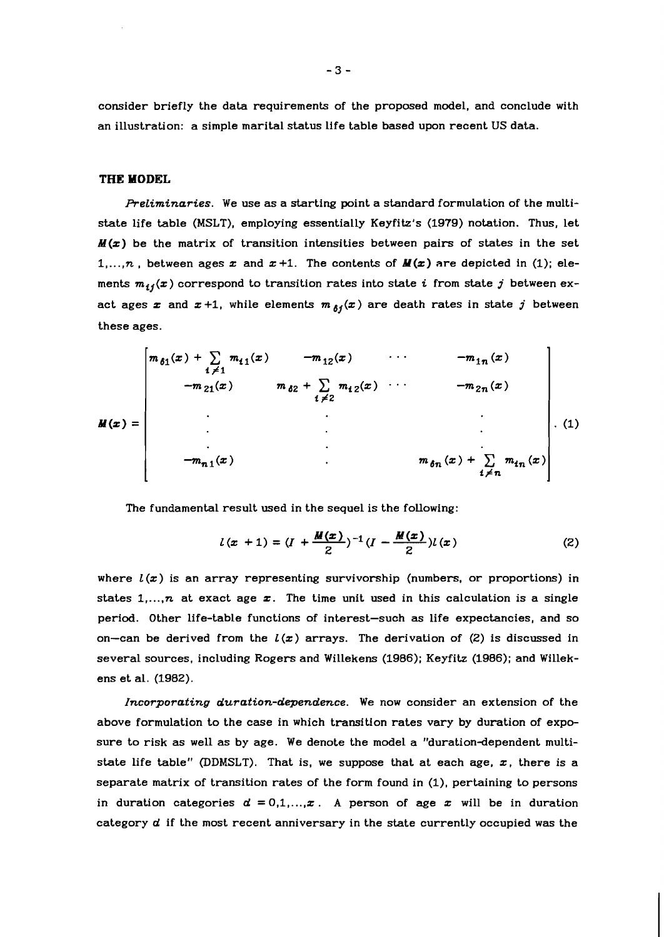consider briefly the data requirements of the proposed model, and conclude with an illustration: a simple marital status life table based upon recent US data.

## **THE MODEL**

**Preliminaries.** We use as a starting point a standard formulation of the multistate life table (MSLT), employing essentially Keyfitz's (1979) notation. Thus, let **M(z)** be the matrix of transition intensities between pairs of states in the set 1,..., *n*, between ages  $x$  and  $x+1$ . The contents of  $M(x)$  are depicted in (1); elements  $m_{ij}(x)$  correspond to transition rates into state i from state j between exact ages  $x$  and  $x+1$ , while elements  $m_{\delta i}(x)$  are death rates in state j between these ages.

$$
M(x) = \begin{bmatrix} m_{\delta 1}(x) + \sum_{i \neq 1} m_{i1}(x) & -m_{12}(x) & \cdots & -m_{1n}(x) \\ -m_{21}(x) & m_{\delta 2} + \sum_{i \neq 2} m_{i2}(x) & \cdots & -m_{2n}(x) \\ \vdots & \vdots & \ddots & \vdots \\ -m_{n1}(x) & \cdots & m_{\delta n}(x) + \sum_{i \neq n} m_{i n}(x) \end{bmatrix} . (1)
$$

The fundamental result used in the sequel is the following:

$$
l(x + 1) = (I + \frac{M(x)}{2})^{-1} (I - \frac{M(x)}{2}) l(x)
$$
 (2)

where  $L(x)$  is an array representing survivorship (numbers, or proportions) in states  $1, \ldots, n$  at exact age  $x$ . The time unit used in this calculation is a single period. Other life-table functions of interest-such **as** life expectancies, and so on-can be derived from the  $l(x)$  arrays. The derivation of (2) is discussed in several sources, including Rogers and Willekens (1986); Keyfitz (1986); and Willekens et al. (1982).

Incorporating duration-dependence. We now consider an extension of the above formulation to the case in which transition rates vary by duration of exposure to risk as well as by age. We denote the model a "duration-dependent multistate life table" (DDMSLT). That is, we suppose that at each age,  $x$ , there is a separate matrix of transition rates of the form found in (I), pertaining to persons in duration categories  $d = 0,1,...,x$ . A person of age x will be in duration category d if the most recent anniversary in the state currently occupied was the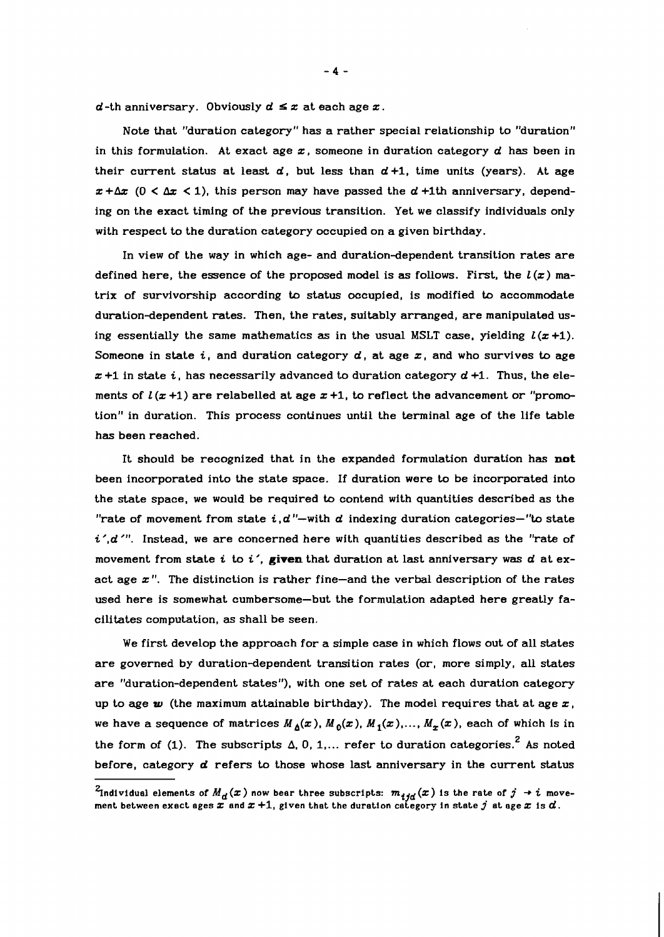$d$ -th anniversary. Obviously  $d \leq x$  at each age  $x$ .

Note that "duration category" has a rather special relationship to "duration" in this formulation. At exact age  $x$ , someone in duration category  $d$  has been in their current status at least  $d$ , but less than  $d+1$ , time units (years). At age  $x + \Delta x$  (0 <  $\Delta x$  < 1), this person may have passed the d +1th anniversary, depending on the exact timing of the previous transition. Yet we classify individuals only with respect to the duration category occupied on a given birthday.

In view of the way in which age- and duration-dependent transition rates are defined here, the essence of the proposed model is as follows. First, the  $l(x)$  matrix of survivorship according to status occupied, is modified to accommodate duration-dependent rates. Then, the rates, suitably arranged, are manipulated using essentially the same mathematics as in the usual MSLT case, yielding  $l(x+1)$ . Someone in state i, and duration category  $d$ , at age  $x$ , and who survives to age  $x + 1$  in state i, has necessarily advanced to duration category  $d + 1$ . Thus, the elements of  $l(x+1)$  are relabelled at age  $x+1$ , to reflect the advancement or "promotion" in duration. This process continues until the terminal age of the life table has been reached.

It should be recognized that in the expanded formulation duration has not been incorporated into the state space. If duration were to be incorporated into the state space, we would be required to contend with quantities described as the "rate of movement from state  $i, d$ "-with d indexing duration categories-"to state  $i'.d'$ ". Instead, we are concerned here with quantities described as the "rate of movement from state i to i', **given** that duration at last anniversary was d at exact age  $x$ ". The distinction is rather fine-and the verbal description of the rates used here is somewhat cumbersome-but the formulation adapted here greatly facilitates computation, as shall be seen.

We first develop the approach for a simple case in which flows out of all states are governed by duration-dependent transition rates (or, more simply, all states are "duration-dependent states"), with one set of rates at each duration category up to age  $w$  (the maximum attainable birthday). The model requires that at age  $x$ , we have a sequence of matrices  $M_{\Delta}(x)$ ,  $M_0(x)$ ,  $M_1(x)$ ,...,  $M_x(x)$ , each of which is in the form of (1). The subscripts  $\Delta$ , 0, 1,... refer to duration categories.<sup>2</sup> As noted before, category **d** refers to those whose last anniversary in the current status

 $^2$ Individual elements of  $M_{\bm d}(\bm x)$  now bear three subscripts:  $m_{\bm i \bm j \bm d}(\bm x)$  is the rate of  $j\, \rightarrow i\,$  move*ment between exact ages* Z *and* Z 4-1, *given that the duration category in state* **j** *at age* z *is* d.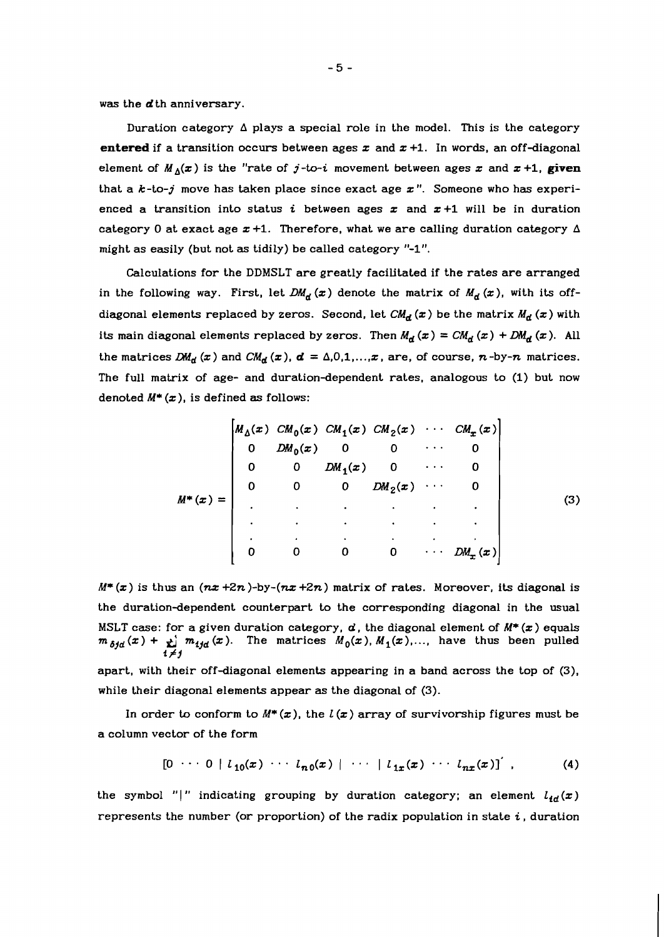was the d<sup>th</sup> anniversary.

Duration category  $\Delta$  plays a special role in the model. This is the category **entered** if a transition occurs between ages  $x$  and  $x +1$ . In words, an off-diagonal element of  $M_A(x)$  is the "rate of j-to-i movement between ages x and  $x + 1$ , given that a  $k$ -to-j move has taken place since exact age  $x$ ". Someone who has experienced a transition into status *i* between ages  $x$  and  $x+1$  will be in duration category 0 at exact age  $x+1$ . Therefore, what we are calling duration category  $\Delta$ might as easily (but not as tidily) be called category "-1".

Calculations for the DDMSLT are greatly facilitated if the rates are arranged in the following way. First, let  $DM_d(x)$  denote the matrix of  $M_d(x)$ , with its offdiagonal elements replaced by zeros. Second, let  $CM_d(x)$  be the matrix  $M_d(x)$  with its main diagonal elements replaced by zeros. Then  $M_d(x) = CM_d(x) + DM_d(x)$ . All the matrices  $DM_d(x)$  and  $CM_d(x)$ ,  $d = \Delta, 0, 1, ..., x$ , are, of course, n-by-n matrices. The full matrix of age- and duration-dependent rates, analogous to (1) but now denoted  $M^*(x)$ , is defined as follows:

$$
M^*(x) = \begin{bmatrix} M_{\Delta}(x) & CM_0(x) & CM_1(x) & CM_2(x) & \cdots & CM_x(x) \\ 0 & DM_0(x) & 0 & 0 & \cdots & 0 \\ 0 & 0 & DM_1(x) & 0 & \cdots & 0 \\ 0 & 0 & 0 & DM_2(x) & \cdots & 0 \\ \vdots & \vdots & \vdots & \vdots & \ddots & \vdots \\ 0 & 0 & 0 & 0 & \cdots & DM_x(x) \end{bmatrix}
$$
(3)

 $M^*(x)$  is thus an  $(nx+2n)$ -by- $(nx+2n)$  matrix of rates. Moreover, its diagonal is the duration-dependent counterpart to the corresponding diagonal in the usual MSLT case: for a given duration category,  $d$ , the diagonal element of  $M^*(x)$  equals  $m_{\delta fd}(x) + \sum_{i=1}^m m_{ijd}(x)$ . The matrices  $M_0(x)$ ,  $M_1(x)$ ,..., have thus been pulled  $i \neq j$ apart, with their off-diagonal elements appearing in a band across the top of (3), while their diagonal elements appear as the diagonal of (3).

In order to conform to  $M^*(x)$ , the  $l(x)$  array of survivorship figures must be a column vector of the form

$$
[0 \cdots 0 | l_{10}(x) \cdots l_{n0}(x) | \cdots | l_{1x}(x) \cdots l_{nx}(x)]^{'} , \qquad (4)
$$

the symbol "|" indicating grouping by duration category; an element  $l_{\mathbf{fd}}(x)$ represents the number (or proportion) of the radix population in state  $i$ , duration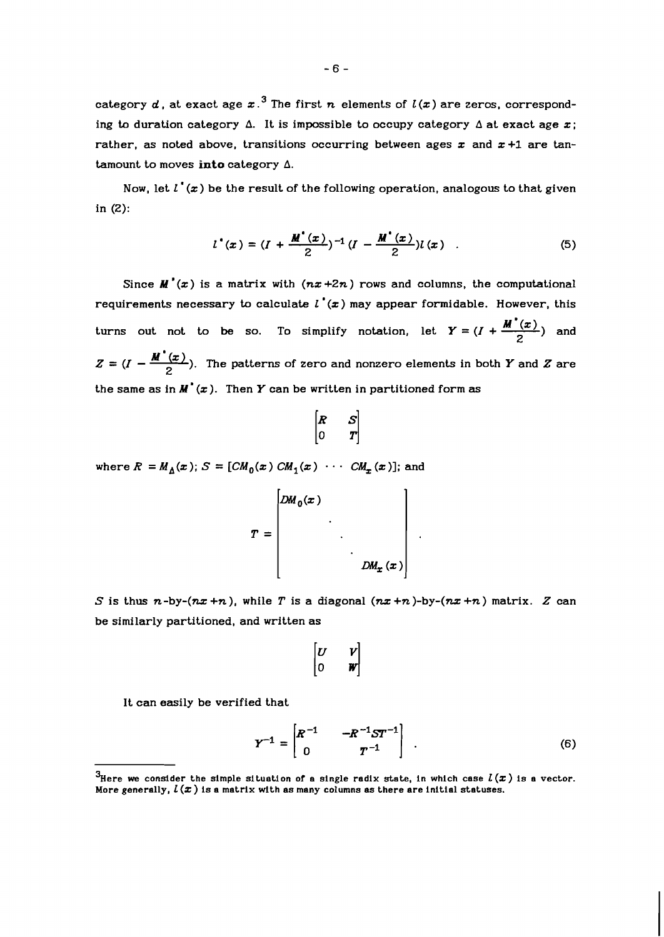category  $d$ , at exact age  $x^3$  The first  $n$  elements of  $l(x)$  are zeros, corresponding to duration category  $\Delta$ . It is impossible to occupy category  $\Delta$  at exact age x; rather, as noted above, transitions occurring between ages  $x$  and  $x+1$  are tantamount to moves **into** category A.

Now, let  $l^*(x)$  be the result of the following operation, analogous to that given in (2):

$$
l^{*}(x) = (I + \frac{M^{*}(x)}{2})^{-1} (I - \frac{M^{*}(x)}{2}) l(x) .
$$
 (5)

Since  $M'(x)$  is a matrix with  $(nx+2n)$  rows and columns, the computational requirements necessary to calculate  $l'(x)$  may appear formidable. However, this  $l^*(x) = (I + \frac{M^*(x)}{2})^{-1} (I - \frac{M^*(x)}{2}) l(x)$  (5)<br>
Since  $M^*(x)$  is a matrix with  $(nx+2n)$  rows and columns, the computational<br>
requirements necessary to calculate  $l^*(x)$  may appear formidable. However, this<br>
turns out not t 2  $Z=(I-\frac{M^{'}(x)}{2})$ . The patterns of zero and nonzero elements in both Y and Z are the same as in  $M'(x)$ . Then Y can be written in partitioned form as

$$
\begin{bmatrix} R & S \\ 0 & T \end{bmatrix}
$$

where  $R = M_A(x)$ ;  $S = [CM_0(x) CM_1(x) \cdots CM_{\tau}(x)]$ ; and

$$
T = \begin{bmatrix} DM_0(x) & & & \\ & \ddots & & \\ & & \ddots & \\ & & & D M_x(x) \end{bmatrix}
$$

S is thus  $n$ -by- $(nx + n)$ , while T is a diagonal  $(nx + n)$ -by- $(nx + n)$  matrix. Z can be similarly partitioned, and written as

$$
\begin{bmatrix} U & V \\ 0 & W \end{bmatrix}
$$

It can easily be verified that

$$
Y^{-1} = \begin{bmatrix} R^{-1} & -R^{-1}ST^{-1} \\ 0 & T^{-1} \end{bmatrix} . \tag{6}
$$

 ${}^{3}$ Here we consider the simple situation of a single radix state, in which case  $l(x)$  is a vector. More generally,  $L(x)$  is a matrix with as many columns as there are initial statuses.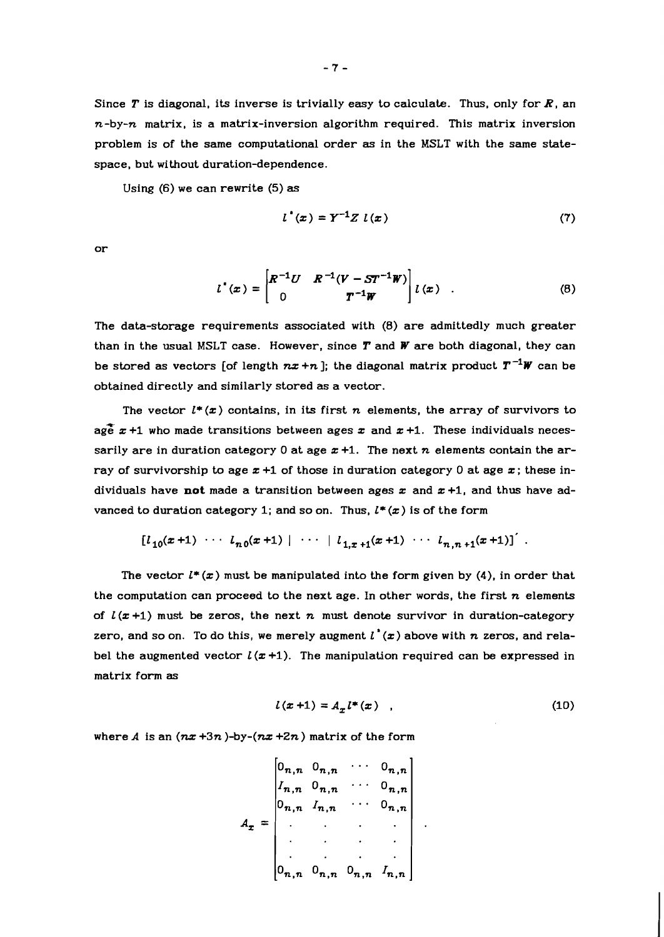Since T is diagonal, its inverse is trivially easy to calculate. Thus, only for R, an  $n$ -by- $n$  matrix, is a matrix-inversion algorithm required. This matrix inversion problem is of the same computational order **as** in the MSLT with the same statespace, but without duration-dependence.

Using (6) we can rewrite (5) **as** 

$$
l^{*}(x) = Y^{-1}Z \; l(x) \tag{7}
$$

or

$$
l^{*}(x) = \begin{bmatrix} R^{-1}U & R^{-1}(V - ST^{-1}W) \\ 0 & T^{-1}W \end{bmatrix} l(x) . \tag{8}
$$

The data-storage requirements associated with (8) are admittedly much greater than in the usual MSLT case. However, since *T* and **W** are both diagonal, they can be stored as vectors [of length  $nx + n$ ]; the diagonal matrix product  $T^{-1}W$  can be obtained directly and similarly stored as a vector.

The vector  $l^*(x)$  contains, in its first n elements, the array of survivors to age  $x +1$  who made transitions between ages x and  $x +1$ . These individuals necessarily are in duration category 0 at age  $x + 1$ . The next n elements contain the array of survivorship to age  $x + 1$  of those in duration category 0 at age  $x$ ; these individuals have **not** made a transition between ages  $x$  and  $x + 1$ , and thus have advanced to duration category 1; and so on. Thus,  $l^*(x)$  is of the form

$$
[l_{10}(x+1) \cdots l_{n0}(x+1) | \cdots | l_{1.x+1}(x+1) \cdots l_{n.n+1}(x+1)]
$$

The vector  $l^*(x)$  must be manipulated into the form given by  $(4)$ , in order that the computation can proceed to the next age. In other words, the first  $n$  elements of  $L(x+1)$  must be zeros, the next n must denote survivor in duration-category zero, and so on. To do this, we merely augment  $l^*(x)$  above with  $n$  zeros, and relabel the augmented vector  $l(x+1)$ . The manipulation required can be expressed in matrix form **as** 

$$
l(x+1) = A_{-l}l^{*}(x) \quad , \tag{10}
$$

where A is an  $(nx+3n)$ -by- $(nx+2n)$  matrix of the form

$$
A_{x} = \begin{bmatrix} 0_{n,n} & 0_{n,n} & \cdots & 0_{n,n} \\ I_{n,n} & 0_{n,n} & \cdots & 0_{n,n} \\ 0_{n,n} & I_{n,n} & \cdots & 0_{n,n} \\ \vdots & \vdots & \ddots & \vdots \\ 0_{n,n} & 0_{n,n} & 0_{n,n} & I_{n,n} \end{bmatrix}
$$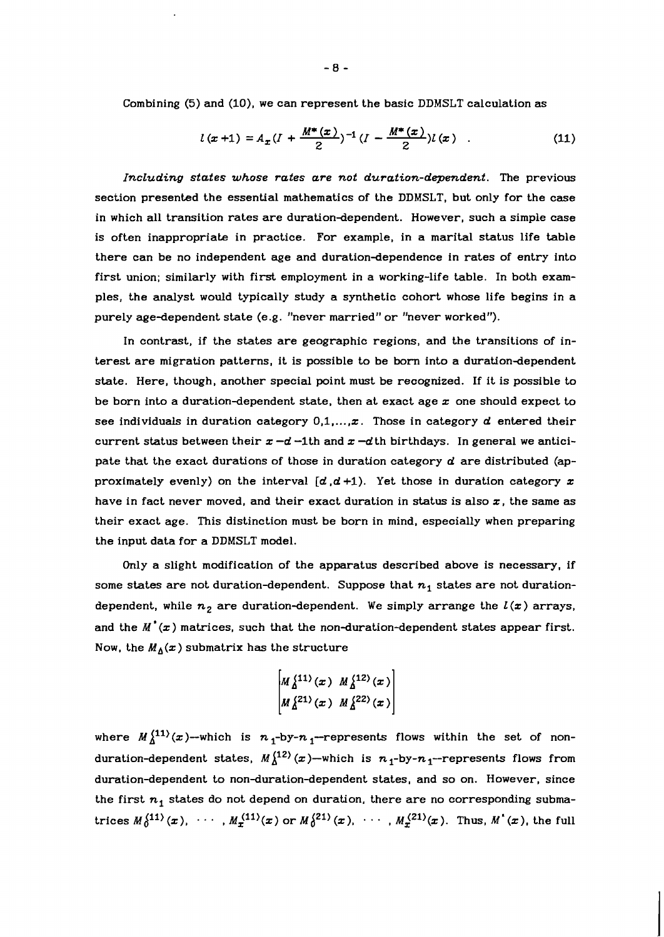Combining (5) and (10), we can represent the basic DDMSLT calculation as

$$
l(x+1) = A_x (I + \frac{M^*(x)}{2})^{-1} (I - \frac{M^*(x)}{2}) l(x) .
$$
 (11)

IncLuding states whose rates are not duration-dependent. The previous section presented the essential mathematics of the DDMSLT, but only for the case in which all transition rates are duration-dependent. However, such a simple case is often inappropriate in practice. For example, in a marital status life table there can be no independent age and duration-dependence in rates of entry into first union; similarly with first employment in a working-life table. In both examples, the analyst would typically study a synthetic cohort whose life begins in a purely age-dependent state (e.g. "never married" or "never worked").

In contrast, if the states are geographic regions, and the transitions of interest are migration patterns, it is possible to be born into a duration-dependent state. Here, though, another special point must be recognized. If it is possible to be born into a duration-dependent state, then at exact age  $x$  one should expect to see individuals in duration category  $0,1,...,x$ . Those in category  $d$  entered their current status between their  $x - d$  -1th and  $x - d$  th birthdays. In general we anticipate that the exact durations of those in duration category  $d$  are distributed (approximately evenly) on the interval  $[d, d+1)$ . Yet those in duration category  $x$ have in fact never moved, and their exact duration in status is also  $x$ , the same as their exact age. This distinction must be born in mind, especially when preparing the input data for a DDMSLT model.

Only a slight modification of the apparatus described above is necessary, if some states are not duration-dependent. Suppose that  $n_1$  states are not durationdependent, while  $n_2$  are duration-dependent. We simply arrange the  $l(x)$  arrays, and the  $M'(\bm{x})$  matrices, such that the non-duration-dependent states appear first. Now, the  $M_\Delta(x)$  submatrix has the structure

$$
\begin{bmatrix} M_{\Delta}^{\{11\}}(x) & M_{\Delta}^{\{12\}}(x) \\ M_{\Delta}^{\{21\}}(x) & M_{\Delta}^{\{22\}}(x) \end{bmatrix}
$$

where  $M_{\lambda}^{(11)}(x)$ --which is  $n_1$ -by- $n_1$ -represents flows within the set of nonduration-dependent states,  $M_{\lambda}^{(12)}(x)$ -which is  $n_1$ -by- $n_1$ -represents flows from duration-dependent to non-duration-dependent states, and so on. However, since the first  $n_1$  states do not depend on duration, there are no corresponding submatrices  $M_0^{(11)}(x)$ , ...,  $M_x^{(11)}(x)$  or  $M_0^{(21)}(x)$ , ...,  $M_x^{(21)}(x)$ . Thus,  $M'(x)$ , the full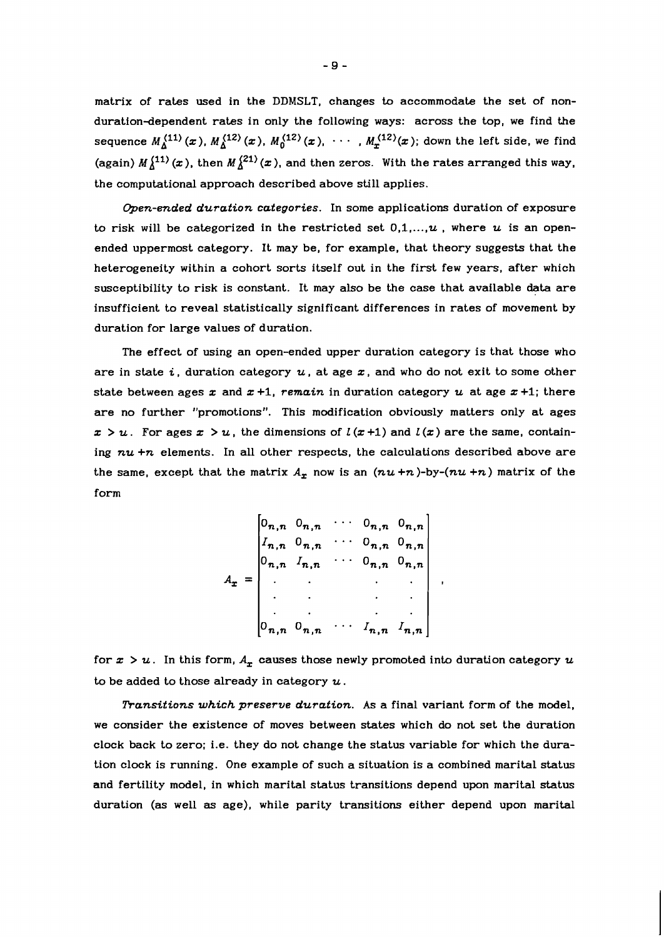matrix of rates used in the DDMSLT, changes to accommodate the set of nonduration-dependent rates in only the following ways: across the top, we find the sequence  $M_\Delta^{(11)}(x)$ ,  $M_\Delta^{(12)}(x)$ ,  $M_0^{(12)}(x)$ ,  $\cdots$ ,  $M_x^{(12)}(x)$ ; down the left side, we find (again)  $M^{(11)}_{\Lambda}(x)$ , then  $M^{(21)}_{\Lambda}(x)$ , and then zeros. With the rates arranged this way, the computational approach described above still applies.

Open-ended duration categories. In some applications duration of exposure to risk will be categorized in the restricted set  $0,1,...,u$ , where u is an openended uppermost category. It may be, for example, that theory suggests that the heterogeneity within a cohort sorts itself out in the first few years, after which susceptibility to risk is constant. It may also be the case that available data are insufficient to reveal statistically significant differences in rates of movement by duration for large values of duration.

The effect of using an open-ended upper duration category is that those who are in state i, duration category  $u$ , at age  $x$ , and who do not exit to some other state between ages x and  $x + 1$ , remain in duration category u at age  $x + 1$ ; there are no further "promotions". This modification obviously matters only at ages  $x > u$ . For ages  $x > u$ , the dimensions of  $l(x+1)$  and  $l(x)$  are the same, containing  $nu +n$  elements. In all other respects, the calculations described above are the same, except that the matrix  $A_x$  now is an  $(nu+n)$ -by- $(nu+n)$  matrix of the form

$$
A_x = \begin{bmatrix} 0_{n,n} & 0_{n,n} & \cdots & 0_{n,n} & 0_{n,n} \\ I_{n,n} & 0_{n,n} & \cdots & 0_{n,n} & 0_{n,n} \\ 0_{n,n} & I_{n,n} & \cdots & 0_{n,n} & 0_{n,n} \\ \vdots & \vdots & \ddots & \vdots & \vdots \\ 0_{n,n} & 0_{n,n} & \cdots & I_{n,n} & I_{n,n} \end{bmatrix}
$$

for  $x > u$ . In this form,  $A_x$  causes those newly promoted into duration category  $u$ to be added to those already in category  $u$ .

Transitions which preserve duration. As a final variant form of the model, we consider the existence of moves between states which do not set the duration clock back to zero; i.e. they do not change the status variable for which the duration clock is running. One example of such a situation is a combined marital status and fertility model, in which marital status transitions depend upon marital status duration (as well **as** age), while parity transitions either depend upon marital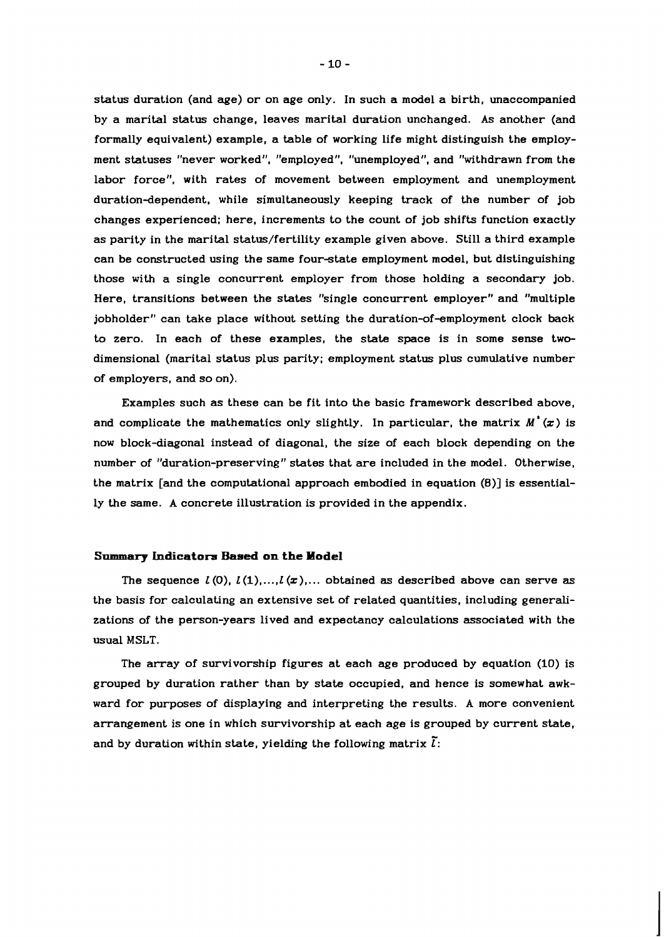status duration (and age) or on age only. In such a model a birth, unaccompanied by a marital status change, leaves marital duration unchanged. As another (and formally equivalent) example, a table of working life might distinguish the employment statuses "never worked", "employed", "unemployed", and "withdrawn from the labor force", with rates of movement between employment and unemployment duration-dependent, while simultaneously keeping track of the number of job changes experienced; here, increments to the count of job shifts function exactly as parity in the marital status/fertility example given above. Still a third example can be constructed using the same four-state employment model, but distinguishing those with a single concurrent employer from those holding a secondary job. Here, transitions between the states "single concurrent employer" and "multiple jobholder" can take place without setting the duration-of-employment clock back to zero. In each of these examples, the state space is in some sense twodimensional (marital status plus parity; employment status plus cumulative number of employers, and so on).

Examples such as these can be fit into the basic framework described above, and complicate the mathematics only slightly. In particular, the matrix  $M'(\mathbf{x})$  is now block-diagonal instead of diagonal, the size of each block depending on the number of "duration-preserving" states that are included in the model. Otherwise, the matrix [and the computational approach embodied in equation **(8)]** is essentially the same. A concrete illustration is provided in the appendix.

## **Sammary Indicators Based on the Model**

The sequence  $L(0)$ ,  $L(1)$ ,..., $L(\mathbf{z})$ ,... obtained as described above can serve as the basis for calculating an extensive set of related quantities, including generalizations of the person-years lived and expectancy calculations associated with the usual MSLT.

The array of survivorship figures at each age produced by equation (10) is grouped by duration rather than by state occupied, and hence is somewhat awkward for purposes of displaying and interpreting the results. A more convenient arrangement is one in which survivorship at each age is grouped by current state, and by duration within state, yielding the following matrix  $\tilde{l}$ :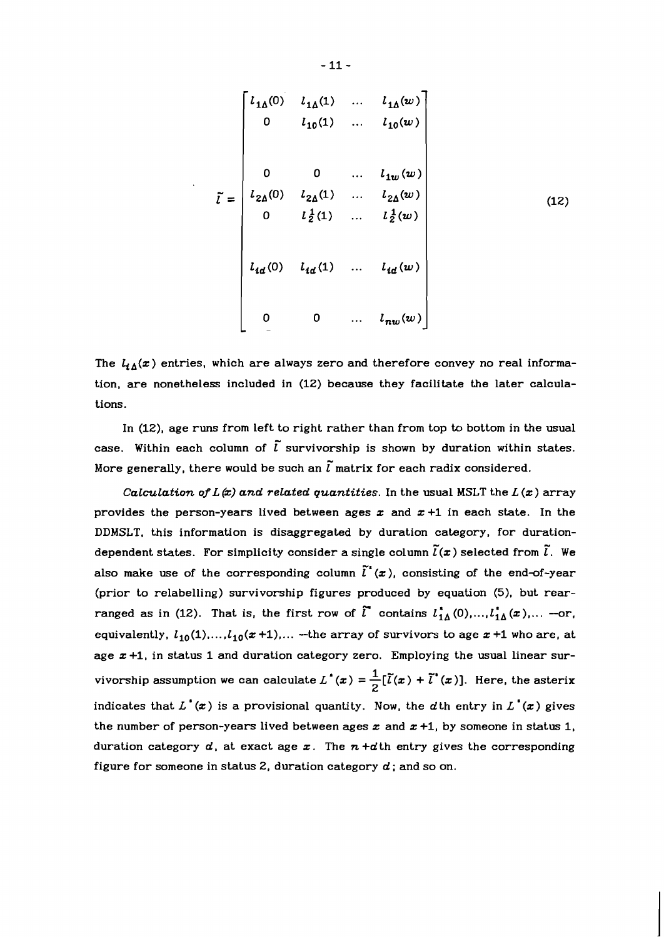$$
\tilde{l} = \begin{bmatrix}\n l_{1\Delta}(0) & l_{1\Delta}(1) & \dots & l_{1\Delta}(w) \\
 0 & l_{10}(1) & \dots & l_{10}(w) \\
 & & & & \\
0 & 0 & \dots & l_{1w}(w) \\
 l_{2\Delta}(0) & l_{2\Delta}(1) & \dots & l_{2\Delta}(w) \\
 0 & l_{\frac{1}{2}}(1) & \dots & l_{\frac{1}{2}}(w) \\
 & & & & \\
 l_{1d}(0) & l_{1d}(1) & \dots & l_{1d}(w) \\
 & & & & \\
0 & 0 & \dots & l_{nw}(w)\n\end{bmatrix}
$$
\n(12)

The  $l_{i\Delta}(x)$  entries, which are always zero and therefore convey no real information, are nonetheless included in (12) because they facilitate the later calculations.

In (12), age runs from left to right rather than from top to bottom in the usual case. Within each column of  $\tilde{l}$  survivorship is shown by duration within states. More generally, there would be such an  $\tilde{l}$  matrix for each radix considered.

Calculation of  $L(x)$  and related quantities. In the usual MSLT the  $L(x)$  array provides the person-years lived between ages  $x$  and  $x+1$  in each state. In the DDMSLT, this information is disaggregated by duration category, for durationdependent states. For simplicity consider a single column  $\widetilde{l}(\bm{x})$  selected from  $\widetilde{l}$ . We also make use of the corresponding column  $\tilde{l}(\boldsymbol{x})$ , consisting of the end-of-year (prior to relabelling) survivorship figures produced by equation **(5),** but rearranged as in (12). That is, the first row of  $\tilde{l}$  contains  $l_{1\Delta}^*(0),...,l_{1\Delta}^*(x),...$  --or, equivalently,  $L_{10}(1)$ ,..., $L_{10}(x + 1)$ ,... --the array of survivors to age  $x + 1$  who are, at age  $x +1$ , in status 1 and duration category zero. Employing the usual linear survivorship assumption we can calculate  $L^*(x) = \frac{1}{2} [\tilde{l}(x) + \tilde{l}^*(x)]$ . Here, the asterix indicates that  $L^*(x)$  is a provisional quantity. Now, the d<sup>th</sup> entry in  $L^*(x)$  gives the number of person-years lived between ages  $x$  and  $x + 1$ , by someone in status 1, duration category  $d$ , at exact age  $x$ . The  $n + d$ th entry gives the corresponding figure for someone in status 2, duration category  $d$ ; and so on.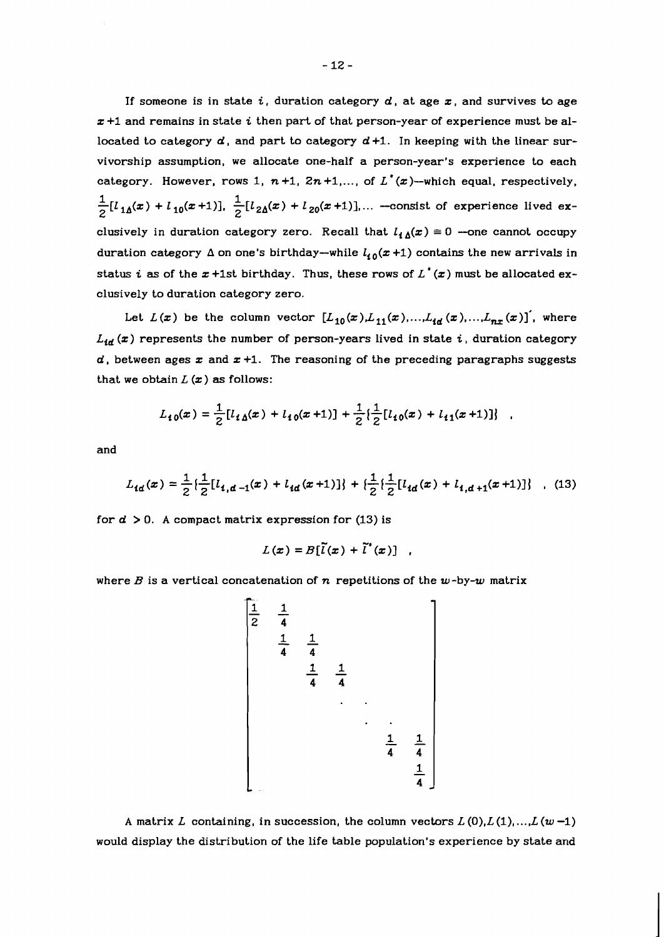If someone is in state **i,** duration category d, at age z, and survives to age z +I and remains in state **i** then part of that person-year of experience must be allocated to category  $d$ , and part to category  $d+1$ . In keeping with the linear survivorship assumption, we allocate one-half a person-year's experience to each category. However, rows 1,  $n+1$ ,  $2n+1$ ,..., of  $L^*(x)$ -which equal, respectively,  $\frac{1}{2}[l_{1\Delta}(x) + l_{10}(x+1)], \frac{1}{2}[l_{2\Delta}(x) + l_{20}(x+1)],...$  --consist of experience lived exclusively in duration category zero. Recall that  $l_{\mathbf{A}}(\mathbf{x}) \equiv 0$  --one cannot occupy duration category  $\Delta$  on one's birthday-while  $l_{10}(x+1)$  contains the new arrivals in status *i* as of the  $x$  +1st birthday. Thus, these rows of  $L^*(x)$  must be allocated exclusively to duration category zero.

Let  $L(x)$  be the column vector  $[L_{10}(x),L_{11}(x),...,L_{ld}(x),...,L_{nx}(x)]'$ , where  $L_{id}$  (x) represents the number of person-years lived in state *i*, duration category  $d$ , between ages  $x$  and  $x + 1$ . The reasoning of the preceding paragraphs suggests that we obtain  $L(x)$  as follows:

$$
L_{10}(x) = \frac{1}{2} [l_{10}(x) + l_{10}(x+1)] + \frac{1}{2} \left\{ \frac{1}{2} [l_{10}(x) + l_{11}(x+1)] \right\}
$$

and

$$
L_{td}(x) = \frac{1}{2} \left\{ \frac{1}{2} [l_{i,d-1}(x) + l_{id}(x+1)] \right\} + \left\{ \frac{1}{2} \left\{ \frac{1}{2} [l_{id}(x) + l_{i,d+1}(x+1)] \right\} \right\} \tag{13}
$$

for  $d > 0$ . A compact matrix expression for (13) is

$$
L(x) = B[\tilde{l}(x) + \tilde{l}^*(x)]
$$

where *B* is a vertical concatenation of *n* repetitions of the  $w$ -by- $w$  matrix

$$
\begin{bmatrix}\n\frac{1}{2} & \frac{1}{4} & & & & \\
\frac{1}{4} & \frac{1}{4} & & & & \\
& & \frac{1}{4} & \frac{1}{4} & & \\
& & & \ddots & & \\
& & & & \frac{1}{4} & \frac{1}{4} \\
& & & & & \frac{1}{4} & \\
& & & & & & \frac{1}{4}\n\end{bmatrix}
$$

A matrix L containing, in succession, the column vectors  $L(0), L(1), \ldots, L(w-1)$ would display the distribution of the life table population's experience by state and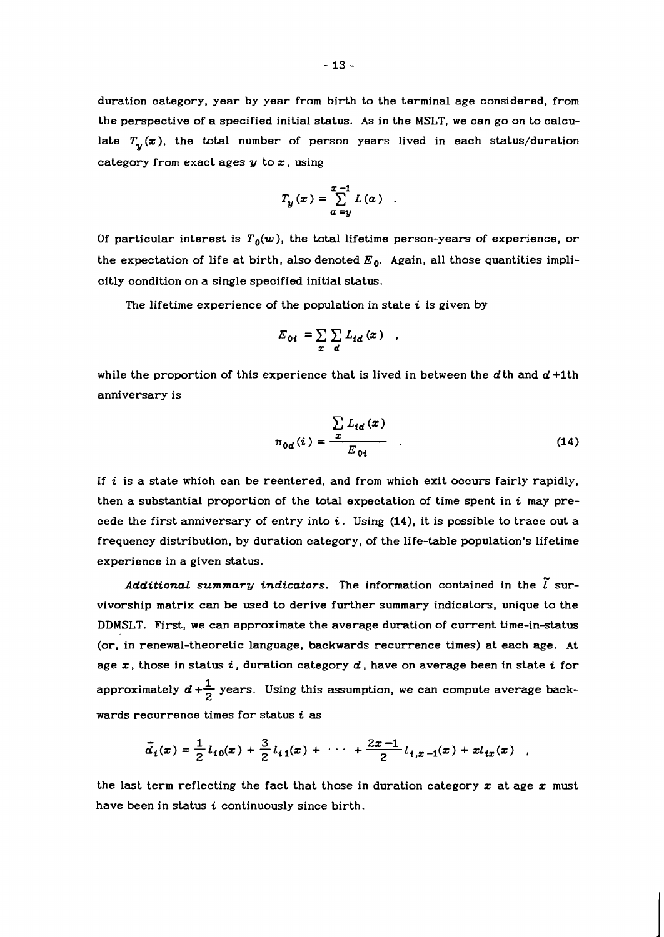duration category, year by year from birth to the terminal age considered, from the perspective of a specified initial status. As in the MSLT, we can go on to calculate  $T_{\nu}(x)$ , the total number of person years lived in each status/duration category from exact ages  $y$  to  $x$ , using

$$
T_y(x) = \sum_{\alpha=y}^{x-1} L(\alpha)
$$

Of particular interest is  $T_0(w)$ , the total lifetime person-years of experience, or the expectation of life at birth, also denoted  $E_0$ . Again, all those quantities implicitly condition on a single specified initial status.

The lifetime experience of the population in state **i** is given by

$$
E_{0i} = \sum_{x} \sum_{d} L_{id}(x)
$$

while the proportion of this experience that is lived in between the  $d$ th and  $d + 1$ th anniversary is

$$
\pi_{0d}(i) = \frac{\sum_{i} L_{id}(x)}{E_{0i}} \qquad (14)
$$

If **i** is a state which can be reentered, and from which exit occurs fairly rapidly, then a substantial proportion of the total expectation of time spent in  $i$  may precede the first anniversary of entry into  $i$ . Using  $(14)$ , it is possible to trace out a frequency distribution, by duration category, of the life-table population's lifetime experience in a given status.

Additional summary indicators. The information contained in the  $\tilde{l}$  survivorship matrix can be used to derive further summary indicators, unique to the DDMSLT. First, we can approximate the average duration of current time-in-status (or, in renewal-theoretic language, backwards recurrence times) at each age. At age z, those in status **i,** duration category d, have on average been in state i for approximately  $\boldsymbol{d} + \frac{1}{2}$  years. Using this assumption, we can compute average backwards recurrence times for status i **as** 

$$
\bar{d}_i(x) = \frac{1}{2} l_{i0}(x) + \frac{3}{2} l_{i1}(x) + \cdots + \frac{2x-1}{2} l_{i,x-1}(x) + x l_{ix}(x)
$$

the last term reflecting the fact that those in duration category  $x$  at age  $x$  must have been in status **i** continuously since birth.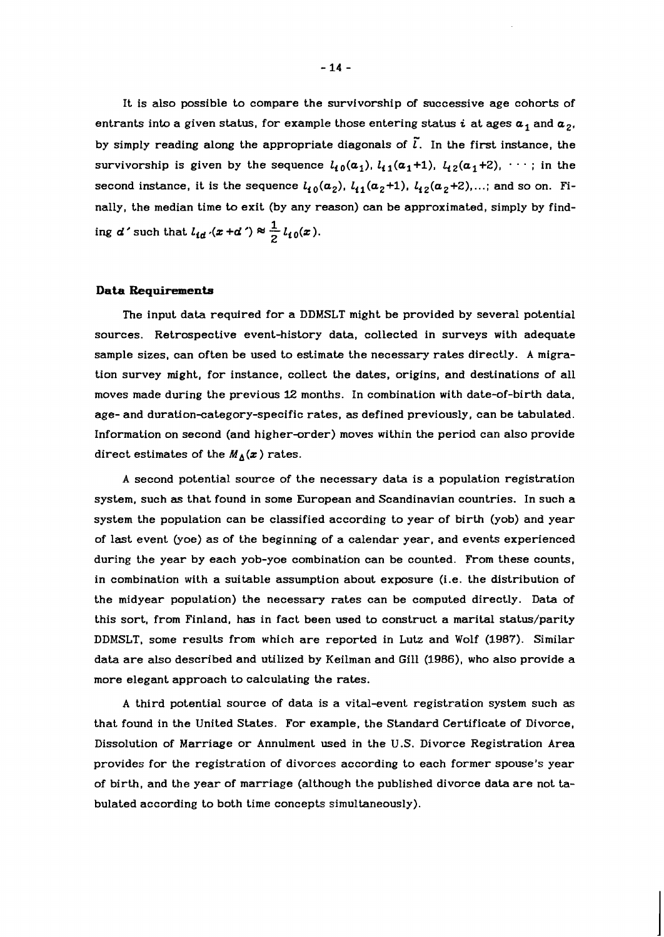It is also possible to compare the survivorship of successive age cohorts of entrants into a given status, for example those entering status *i* at ages  $a_1$  and  $a_2$ , by simply reading along the appropriate diagonals of  $\tilde{l}$ . In the first instance, the survivorship is given by the sequence  $l_{10}(\alpha_1)$ ,  $l_{11}(\alpha_1 + 1)$ ,  $l_{12}(\alpha_1 + 2)$ ,  $\cdots$ ; in the second instance, it is the sequence  $l_{10}(\alpha_2)$ ,  $l_{11}(\alpha_2+1)$ ,  $l_{12}(\alpha_2+2)$ ,...; and so on. Finally, the median time to exit (by any reason) can be approximated, simply by finding  $d'$  such that  $l_{id}$   $\cdot$   $(x+d') \approx \frac{1}{2} l_{i0}(x)$ .

#### **Data Bequirements**

The input data required for a DDMSLT might be provided by several potential sources. Retrospective event-history data, collected in surveys with adequate sample sizes, can often be used to estimate the necessary rates directly. A migration survey might, for instance, collect the dates, origins, and destinations of all moves made during the previous 12 months. In combination with date-of-birth data, age- and duration-category-specific rates, as defined previously, can be tabulated. Information on second (and higher-order) moves within the period can also provide direct estimates of the  $M_{\Delta}(x)$  rates.

A second potential source of the necessary data is a population registration system, such as that found in some European and Scandinavian countries. In such a system the population can be classified according to year of birth (yob) and year of last event (yoe) as of the beginning of a calendar year, and events experienced during the year by each yob-yoe combination can be counted. From these counts, in combination with a suitable assumption about exposure (i.e. the distribution of the midyear population) the necessary rates can be computed directly. Data of this sort, from Finland, has in fact been used to construct a marital status/parity DDMSLT, some results from which are reported in Lutz and Wolf (1987). Similar data are also described and utilized by Keilman and Gill (1986), who also provide a more elegant approach to calculating the rates.

A third potential source of data is a vital-event registration system such as that found in the United States. For example, the Standard Certificate of Divorce, Dissolution of Marriage or Annulment used in the U.S. Divorce Registration Area provides for the registration of divorces according to each former spouse's year of birth, and the year of marriage (although the published divorce data are not tabulated according to both time concepts simultaneously).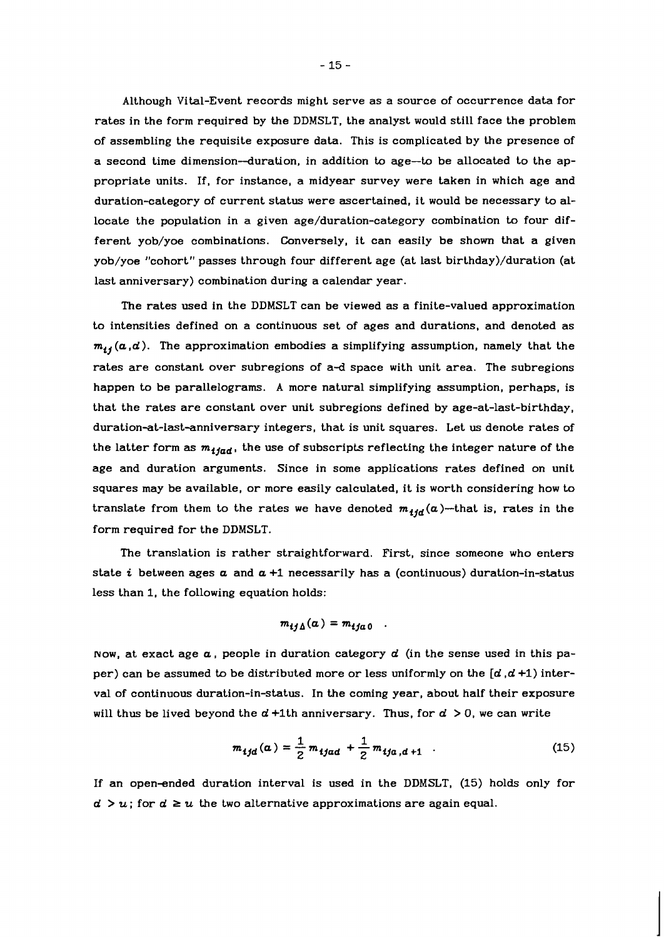Although Vital-Event records might serve as a source of occurrence data for rates in the form required by the DDMSLT, the analyst would still face the problem of assembling the requisite exposure data. This is complicated by the presence of a second time dimension--duration, in addition to age-to be allocated to the appropriate units. If, for instance, a midyear survey were taken in which age and duration-category of current status were ascertained, it would be necessary to allocate the population in a given age/duration-category combination to four different yob/yoe combinations. Conversely, it can easily be shown that a given yob/yoe "cohort" passes through four different age (at last birthday)/duration (at last anniversary) combination during a calendar year.

The rates used in the DDMSLT can be viewed as a finite-valued approximation to intensities defined on a continuous set of ages and durations, and denoted as  $m_{ij}(a,d)$ . The approximation embodies a simplifying assumption, namely that the rates are constant over subregions of a-d space with unit area. The subregions happen to be parallelograms. A more natural simplifying assumption, perhaps, is that the rates are constant over unit subregions defined by age-at-last-birthday, duration-at-last-anniversary integers, that is unit squares. Let us denote rates of the latter form as  $m_{ijad}$ , the use of subscripts reflecting the integer nature of the age and duration arguments. Since in some applications rates defined on unit squares may be available, or more easily calculated, it is worth considering how to translate from them to the rates we have denoted  $m_{ijd}(a)$ -that is, rates in the form required for the DDMSLT.

The translation is rather straightforward. First, since someone who enters state  $i$  between ages  $a$  and  $a + 1$  necessarily has a (continuous) duration-in-status less than 1, the following equation holds:

$$
m_{ij\Delta}(\alpha) = m_{ij\alpha 0}
$$

Now, at exact age  $\alpha$ , people in duration category  $d$  (in the sense used in this paper) can be assumed to be distributed more or less uniformly on the  $[d, d+1)$  interval of continuous duration-in-status. In the coming year, about half their exposure will thus be lived beyond the  $d + 1$ th anniversary. Thus, for  $d > 0$ , we can write

$$
m_{ijd}(\alpha) = \frac{1}{2} m_{ijad} + \frac{1}{2} m_{ija,d+1} \quad . \tag{15}
$$

If an open-ended duration interval is used in the DDMSLT, (15) holds only for  $d > u$ ; for  $d \geq u$  the two alternative approximations are again equal.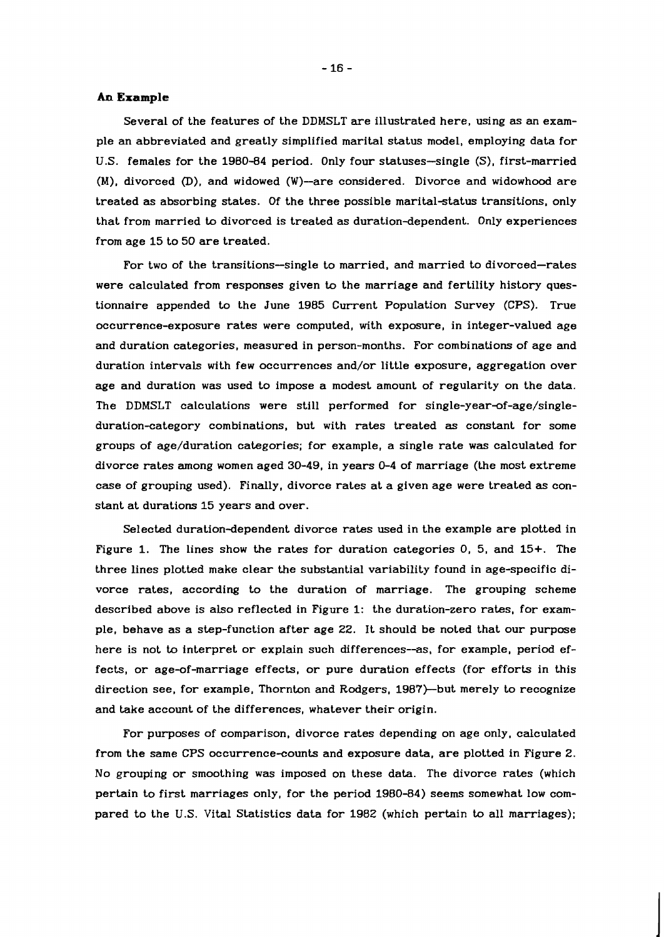#### **An Example**

Several of the features of the DDMSLT are illustrated here, using as an example an abbreviated and greatly simplified marital status model, employing data for U.S. females for the 1980-84 period. Only four statuses-single (S), first-married (M), divorced (D), and widowed (W)-are considered. Divorce and widowhood are treated as absorbing states. Of the three possible marital-status transitions, only that from married to divorced is treated as duration-dependent.. Only experiences from age 15 to 50 are treated.

For two of the transitions-single to married, and married to divorced-rates were calculated from responses given to the marriage and fertility history questionnaire appended to the June 1985 Current Population Survey (CPS). True occurrence-exposure rates were computed, with exposure, in integer-valued age and duration categories, measured in person-months. For combinations of age and duration intervals with few occurrences and/or little exposure, aggregation over age and duration was used to impose a modest amount of regularity on the data. The DDMSLT calculations were still performed for **single-year-of-age/single**duration-category combinations, but with rates treated as constant for some groups of age/duration categories; for example, a single rate was calculated for divorce rates among women aged 30-49, in years 0-4 of marriage (the most extreme case of grouping used). Finally, divorce rates at a given age were treated **as** constant at durations 15 years and over.

Selected duration-dependent divorce rates used in the example are plotted in Figure 1. The lines show the rates for duration categories 0, 5, and 15+. The three lines plotted make clear the substantial variability found in age-specific divorce rates, according to the duration of marriage. The grouping scheme described above is also reflected in Figure 1: the duration-zero rates, for example, behave as a step-function after age 22. It should be noted that our purpose here is not to interpret or explain such differences--as, for example, period effects, or age-of-marriage effects, or pure duration effects (for efforts in this direction see, for example, Thornton and Rodgers, 1987)-but merely to recognize and take account of the differences, whatever their origin.

For purposes of comparison, divorce rates depending on age only. calculated from the same CPS occurrence-counts and exposure data, are plotted in Figure 2. No grouping or smoothing was imposed on these data. The divorce rates (which pertain to first marriages only, for the period 1980-84) seems somewhat low compared to the U.S. Vital Statistics data for 1982 (which pertain to all marriages);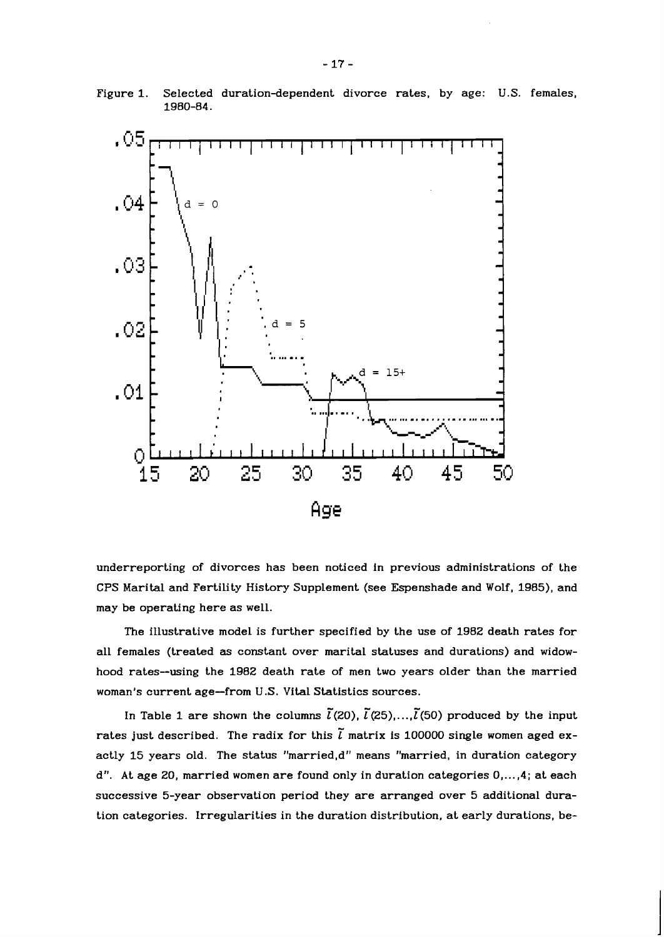

Figure 1. Selected duration-dependent divorce rates, by age: U.S. females, 1980-84.

underreporting of divorces has been noticed in previous administrations of the CPS Marital and Fertility History Supplement (see Espenshade and Wolf, 1985), and may be operating here as well.

The illustrative model is further specified by the use of 1982 death rates for all females (treated as constant over marital statuses and durations) and widowhood rates-using the 1982 death rate of men two years older than the married woman's current age-from U.S. Vital Statistics sources.

In Table 1 are shown the columns  $\tilde{l}(20)$ ,  $\tilde{l}(25)$ ,..., $\tilde{l}(50)$  produced by the input rates just described. The radix for this  $\tilde{l}$  matrix is 100000 single women aged exactly 15 years old. The status "married,d" means "married, in duration category d". At age 20, married women are found only in duration categories 0,...,4; at each successive 5-year observation period they are arranged over 5 additional duration categories. Irregularities in the duration distribution, at early durations, be-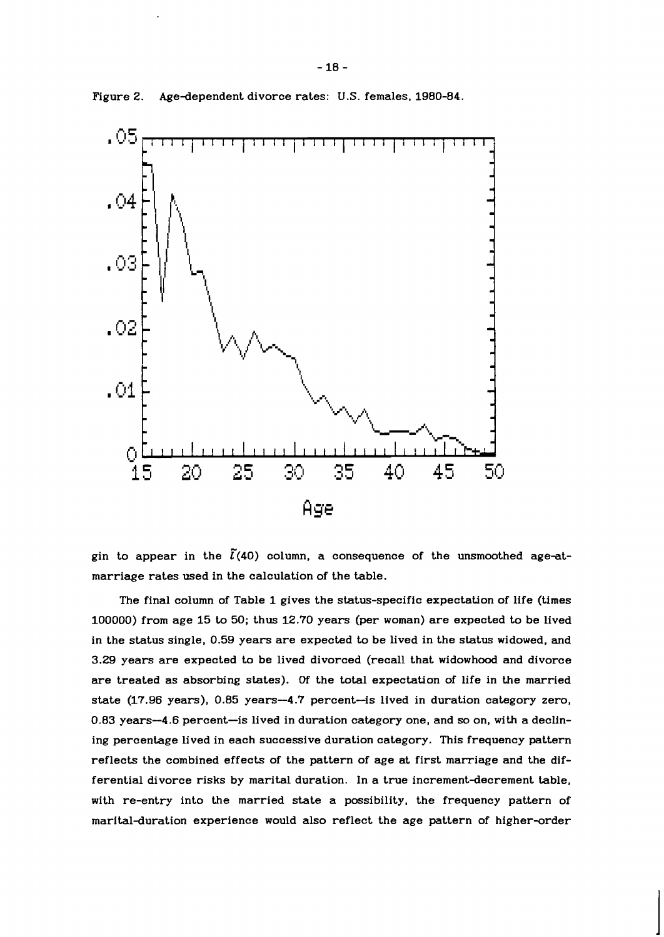



gin to appear in the  $\tilde{l}(40)$  column, a consequence of the unsmoothed age-atmarriage rates used in the calculation of the table.

The final column of Table 1 gives the status-specific expectation of life (times 100000) from age 15 to 50; thus 12.70 years (per woman) are expected to be lived in the status single, 0.59 years are expected to be lived in the status widowed, and 3.29 years are expected to be lived divorced (recall that widowhood and divorce are treated as absorbing states). **Of** the total expectation of life in the married state (17.96 years), 0.85 years-4.7 percent-is lived in duration category zero, 0.83 years-4.6 percent-is lived in duration category one, and **so** on, with a declining percentage lived in each successive duration category. This frequency pattern reflects the combined effects of the pattern of age at first marriage and the differential divorce risks by marital duration. In a true increment-decrement table, with re-entry into the married state a possibility, the frequency pattern of marital-duration experience would also reflect the age pattern of higher-order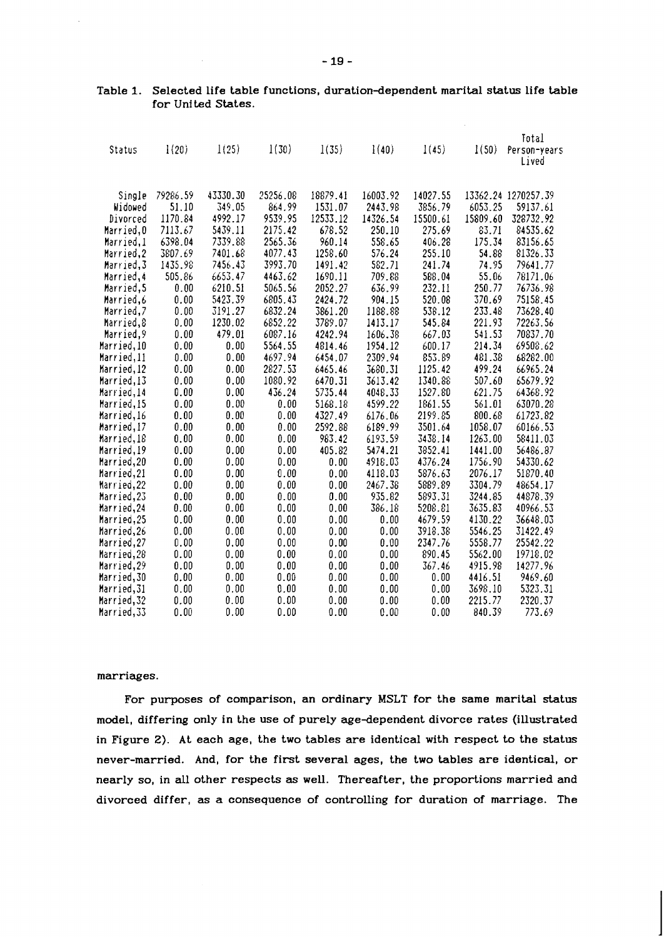| Status      | 1(20)    | 1(25)    | 1(30)    | 1(35)    | 1(40)    | 1(45)    | 1(50)    | Total<br>Person-years<br>Lived |
|-------------|----------|----------|----------|----------|----------|----------|----------|--------------------------------|
| Single      | 79286.59 | 43330.30 | 25256.08 | 18879.41 | 16003.92 | 14027.55 |          | 13362.24 1270257.39            |
| Widowed     | 51.10    | 349.05   | 864.99   | 1531.07  | 2443.98  | 3856.79  | 6053.25  | 59137.61                       |
| Divorced    | 1170.84  | 4992.17  | 9539.95  | 12533.12 | 14326.54 | 15500.61 | 15809.60 | 328732.92                      |
| Married, O  | 7113.67  | 5439.11  | 2175.42  | 678.52   | 250.10   | 275.69   | 83.71    | 84535.62                       |
| Married,1   | 6398.04  | 7339.88  | 2565.36  | 960.14   | 558.65   | 406.28   | 175.34   | 83156.65                       |
| Married, 2  | 3807.69  | 7401.68  | 4077.43  | 1258.60  | 576.24   | 255.10   | 54.88    | 81326.33                       |
| Married, 3  | 1435.98  | 7456.43  | 3993.70  | 1491.42  | 582.71   | 241.74   | 74.95    | 79641.77                       |
| Married,4   | 505.86   | 6653.47  | 4463.62  | 1690.11  | 709.88   | 588.04   | 55.06    | 78171.06                       |
| Married, 5  | 0.00     | 6210.51  | 5065.56  | 2052.27  | 636.99   | 232.11   | 250.77   | 76736.98                       |
| Married,6   | 0.00     | 5423.39  | 6805.43  | 2424.72  | 904.15   | 520.08   | 370.69   | 75158.45                       |
| Married,7   | 0.00     | 3191.27  | 6832.24  | 3861.20  | 1188.88  | 538.12   | 233.48   | 73628.40                       |
| Married,8   | 0.00     | 1230.02  | 6852.22  | 3789.07  | 1413.17  | 545.84   | 221.93   | 72263.56                       |
| Married, 9  | 0.00     | 479.01   | 6087.16  | 4242.94  | 1606.38  | 667.03   | 541.53   | 70837.70                       |
| Married, 10 | 0.00     | 0.00     | 5564.55  | 4814.46  | 1954.12  | 600.17   | 214.34   | 69508.62                       |
| Married, 11 | 0.00     | 0.00     | 4697.94  | 6454.07  | 2309.94  | 853.89   | 481.38   | 68282.00                       |
| Married, 12 | 0.00     | 0.00     | 2827.53  | 6465.46  | 3680.31  | 1125.42  | 499.24   | 66965.24                       |
| Married,13  | 0.00     | 0.00     | 1080.92  | 6470.31  | 3613.42  | 1340.88  | 507.60   | 65679.92                       |
| Married, 14 | 0.00     | 0.00     | 436.24   | 5735.44  | 4048.33  | 1527.80  | 621.75   | 64368.92                       |
| Married, 15 | 0.00     | 0.00     | 0.00     | 5168.18  | 4599.22  | 1861.55  | 561.01   | 63070.28                       |
| Married, 16 | 0.00     | 0.00     | 0.00     | 4327.49  | 6176.06  | 2199.85  | 800.68   | 61723.82                       |
| Married, 17 | 0.00     | 0.00     | 0.00     | 2592.88  | 6189.99  | 3501.64  | 1058.07  | 60166.53                       |
| Married, 18 | 0.00     | 0.00     | 0.00     | 983.42   | 6193.59  | 3438.14  | 1263.00  | 58411.03                       |
| Married, 19 | 0.00     | 0.00     | 0.00     | 405.82   | 5474.21  | 3852.41  | 1441.00  | 56486.87                       |
| Married, 20 | 0.00     | 0.00     | 0.00     | 0.00     | 4918.03  | 4376.24  | 1756.90  | 54330.62                       |
| Married, 21 | 0.00     | 0.00     | 0.00     | 0.00     | 4118.03  | 5876.63  | 2076.17  | 51870.40                       |
| Married, 22 | 0.00     | 0.00     | 0.00     | 0.00     | 2467.38  | 5889.89  | 3304.79  | 48654.17                       |
| Married, 23 | 0.00     | 0.00     | 0.00     | 0.00     | 935.82   | 5893.31  | 3244.85  | 44878.39                       |
| Married, 24 | 0.00     | 0.00     | 0.00     | 0.00     | 386.18   | 5208.81  | 3635.83  | 40966.53                       |
| Married, 25 | 0.00     | 0.00     | 0.00     | 0.00     | 0.00     | 4679.59  | 4130.22  | 36648.03                       |
| Married, 26 | 0.00     | 0.00     | 0.00     | 0.00     | 0.00     | 3918.38  | 5546.25  | 31422.49                       |
| Married, 27 | 0.00     | 0.00     | 0.00     | 0.00     | 0.00     | 2347.76  | 5558.77  | 25542.22                       |
| Married, 28 | 0.00     | 0.00     | 0.00     | 0.00     | 0.00     | 890.45   | 5562.00  | 19718.02                       |
| Married, 29 | 0.00     | 0.00     | 0.00     | 0.00     | 0.00     | 367.46   | 4915.98  | 14277.96                       |
| Married, 30 | 0.00     | 0.00     | 0.00     | 0.00     | 0.00     | 0.00     | 4416.51  | 9469.60                        |
| Married,31  | 0.00     | 0.00     | 0.00     | 0.00     | 0.00     | 0.00     | 3698.10  | 5323.31                        |
| Married, 32 | 0.00     | 0.00     | 0.00     | 0.00     | 0.00     | 0.00     | 2215.77  | 2320.37                        |
| Married, 33 | 0.00     | 0.00     | 0.00     | 0.00     | 0.00     | 0.00     | 840.39   | 773.69                         |

## Table 1. Selected life table functions, duration-dependent marital status life table for United States.

#### marriages.

For purposes of comparison, an ordinary MSLT for the same marital status model, differing only in the use of purely age-dependent divorce rates (illustrated in Figure 2). At each age, the two tables are identical with respect to the status never-married. And, for the first several ages, the two tables are identical, or nearly so, in all other respects **as** well. Thereafter, the proportions married and divorced differ, as a consequence of controlling for duration of marriage. The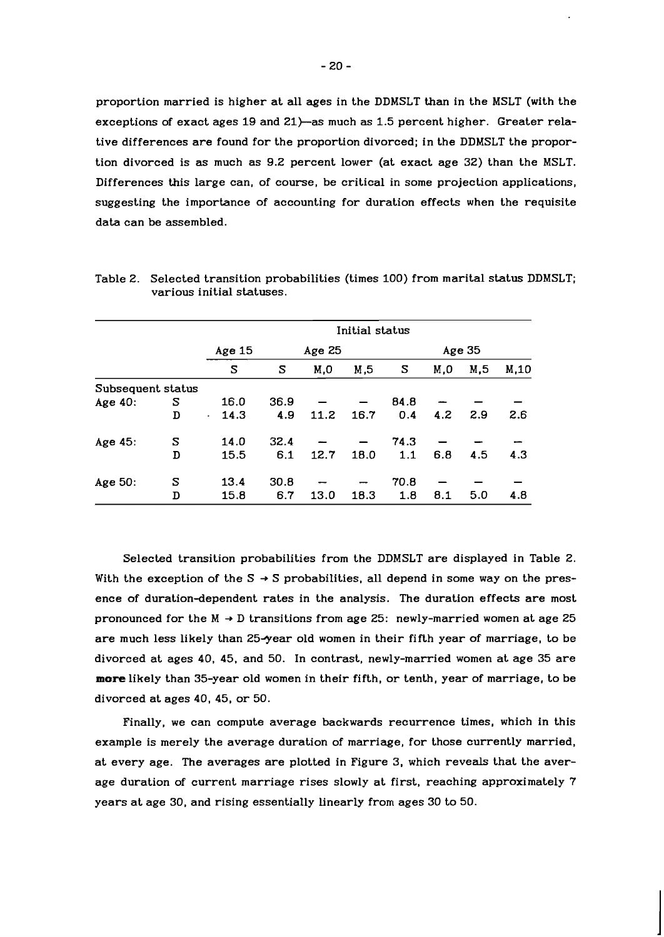proportion married is higher at all ages in the DDMSLT than in the MSLT (with the exceptions of exact ages 19 and 21)-as much **as** 1.5 percent higher. Greater relative differences are found for the proportion divorced; in the DDMSLT the proportion divorced is as much as 9.2 percent lower (at exact age 32) than the MSLT. Differences this large can, of course, be critical in some projection applications, suggesting the importance of accounting for duration effects when the requisite data can be assembled.

|                   |   | Initial status    |        |      |      |        |      |     |      |  |
|-------------------|---|-------------------|--------|------|------|--------|------|-----|------|--|
|                   |   | Age 15            | Age 25 |      |      | Age 35 |      |     |      |  |
|                   |   | S                 | S      | M,0  | M, 5 | s      | M, 0 | M,5 | M,10 |  |
| Subsequent status |   |                   |        |      |      |        |      |     |      |  |
| Age 40:           | s | 16.0              | 36.9   |      |      | 84.8   |      |     |      |  |
|                   | D | 14.3<br>$\bullet$ | 4.9    | 11.2 | 16.7 | 0.4    | 4.2  | 2.9 | 2.6  |  |
| Age 45:           | S | 14.0              | 32.4   |      |      | 74.3   |      |     |      |  |
|                   | D | 15.5              | 6.1    | 12.7 | 18.0 | 1.1    | 6.8  | 4.5 | 4.3  |  |
| Age 50:           | S | 13.4              | 30.8   |      |      | 70.8   |      |     |      |  |
|                   | D | 15.8              | 6.7    | 13.0 | 18.3 | 1.8    | 8.1  | 5.0 | 4.8  |  |

Table 2. Selected transition probabilities (times 100) from marital status DDMSLT; various initial statuses.

Selected transition probabilities from the DDMSLT are displayed in Table 2. With the exception of the  $S \rightarrow S$  probabilities, all depend in some way on the presence of duration-dependent rates in the analysis. The duration effects are most pronounced for the  $M \rightarrow D$  transitions from age 25: newly-married women at age 25 are much less likely than 25-year old women in their fifth year of marriage, to be divorced at ages 40, 45. and 50. In contrast, newly-married women at age 35 are **more** likely than 35-year old women in their fifth, or tenth, year of marriage, to be divorced at ages 40, 45, or 50.

Finally, we can compute average backwards recurrence times, which in this example is merely the average duration of marriage, for those currently married, at every age. The averages are plotted in Figure 3, which reveals that the average duration of current marriage rises slowly at first, reaching approximately 7 years at age 30, and rising essentially Linearly from ages 30 to 50.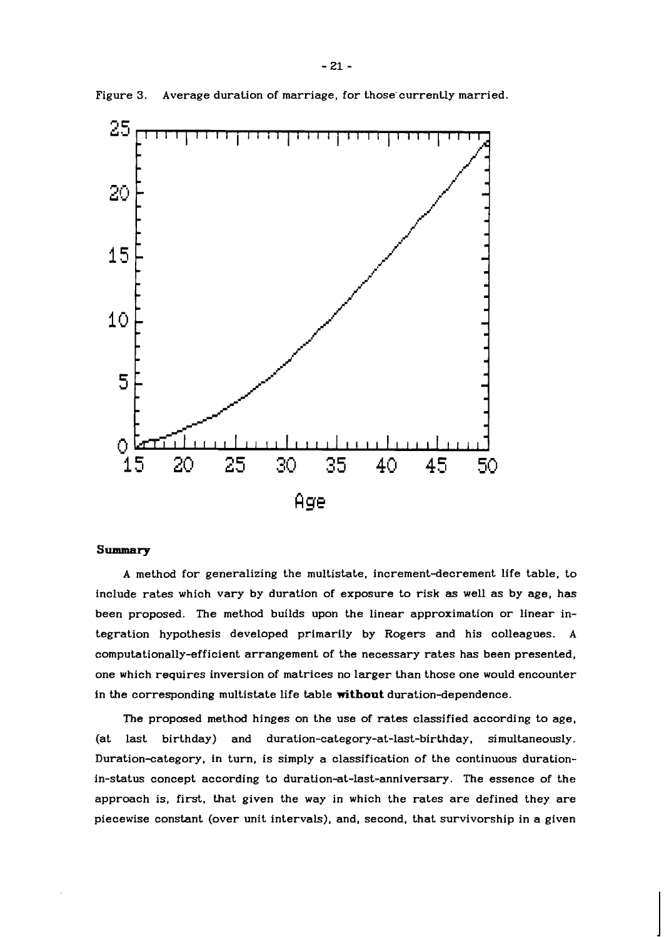

Figure 3. Average duration of marriage, for those currently married.

## Summary

A method for generalizing the multistate, increment-decrement life table, to include rates which vary by duration of exposure to risk as well as by age, has been proposed. The method builds upon the linear approximation or linear integration hypothesis developed primarily by Rogers and his colleagues. A **computationally-efficient** arrangement of the necessary rates has been presented, one which requires inversion of matrices no larger than those one would encounter in the corresponding multistate life table **without** duration-dependence.

The proposed method hinges on the use of rates classified according to age, (at last birthday) and **duration-category-at-last-birthday,** simultaneously. Duration-category, in turn, is simply a classification of the continuous durationin-status concept according to **durationat-last-anniversary.** The essence of the approach is, first. that given the way in which the rates are defined they are piecewise constant (over unit intervals), and, second, that survivorship in a given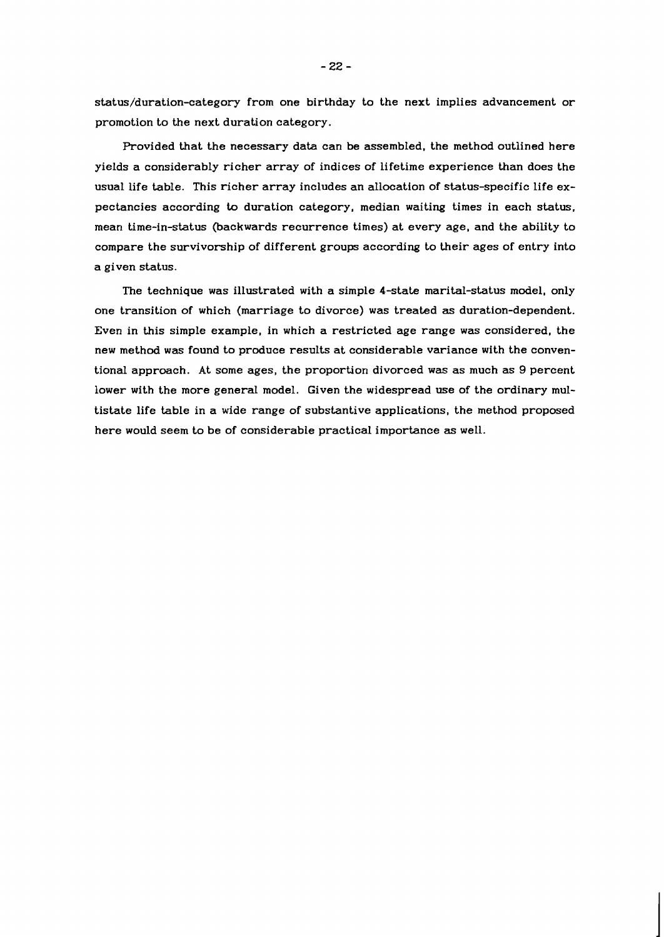**status/duration-category** from one birthday to the next implies advancement or promotion to the next duration category.

Provided that the necessary data can be assembled. the method outlined here yields a considerably richer array of indices of lifetime experience than does the usual life table. This richer array includes an allocation of status-specific life expectancies according to duration category, median waiting times in each status. mean time-in-status (backwards recurrence times) at every age, and the ability to compare the survivorship of different groups according to their ages of entry into a given status.

The technique was illustrated with a simple 4-state marital-status model, only one transition of which (marriage to divorce) was treated **as** duration-dependent. Even in this simple example, in which a restricted age range was considered, the new method was found to produce results at considerable variance with the conventional approach. At some ages, the proportion divorced **was** as much as 9 percent lower with the more general model. Given the widespread use of the ordinary multistate life table in a wide range of substantive applications, the method proposed here would seem to be of considerable practical importance **as** well.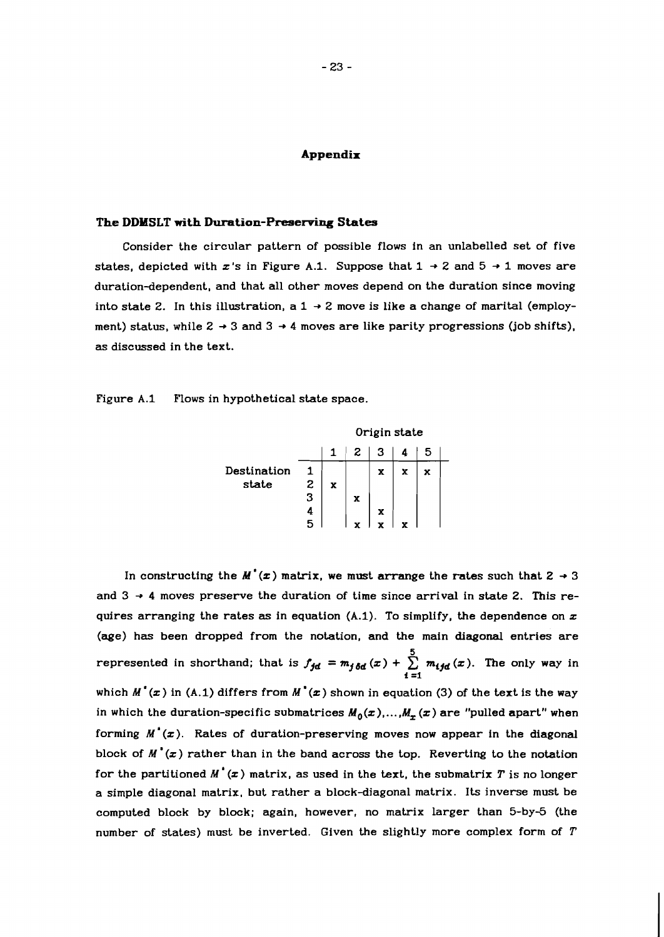#### **Appendix**

#### **The DDMSLT with Duration-Preserving States**

Consider the circular pattern of possible flows in an unlabelled set of five states, depicted with x's in Figure A.1. Suppose that  $1 \rightarrow 2$  and  $5 \rightarrow 1$  moves are duration-dependent, and that all other moves depend on the duration since moving into state 2. In this illustration, a  $1 \rightarrow 2$  move is like a change of marital (employment) status, while  $2 \rightarrow 3$  and  $3 \rightarrow 4$  moves are like parity progressions (job shifts), as discussed in the text.

Figure A.1 Flows in hypothetical state space.

|             |   | Origin state |   |   |   |   |  |  |
|-------------|---|--------------|---|---|---|---|--|--|
|             |   | 1            | 2 | 3 |   |   |  |  |
| Destination |   |              |   | x | x | x |  |  |
| state       | 2 | X            |   |   |   |   |  |  |
|             | 3 |              | x |   |   |   |  |  |
|             | 4 |              |   | x |   |   |  |  |
|             |   |              |   |   |   |   |  |  |

In constructing the  $M'(x)$  matrix, we must arrange the rates such that  $2 \rightarrow 3$ and  $3 \rightarrow 4$  moves preserve the duration of time since arrival in state 2. This requires arranging the rates as in equation  $(A.1)$ . To simplify, the dependence on  $x$ (age) has been dropped from the notation, and the main diagonal entries are represented in shorthand; that is  $f_{\bm{jd}} = m_{\bm{j}\,\bm{\delta d}}\left(x\right) + \sum\limits_{i=1}^5\,m_{\bm{i}\bm{j}\bm{d}}\left(x\right).$  The only way in  $\sum_{i=1}^{5} m_{ijd}$  ( which  $M'(x)$  in (A.1) differs from  $M'(x)$  shown in equation (3) of the text is the way in which the duration-specific submatrices  $M_0(x)$ , ...,  $M_n(x)$  are "pulled apart" when forming  $M'(\mathbf{x})$ . Rates of duration-preserving moves now appear in the diagonal block of  $M'(\mathbf{x})$  rather than in the band across the top. Reverting to the notation for the partitioned  $M'(\boldsymbol{x})$  matrix, as used in the text, the submatrix  $T$  is no longer a simple diagonal matrix, but rather a block-diagonal matrix. Its inverse must be computed block by block; again, however, no matrix larger than 5-by-5 (the number of states) must be inverted. Given the slightly more complex form of T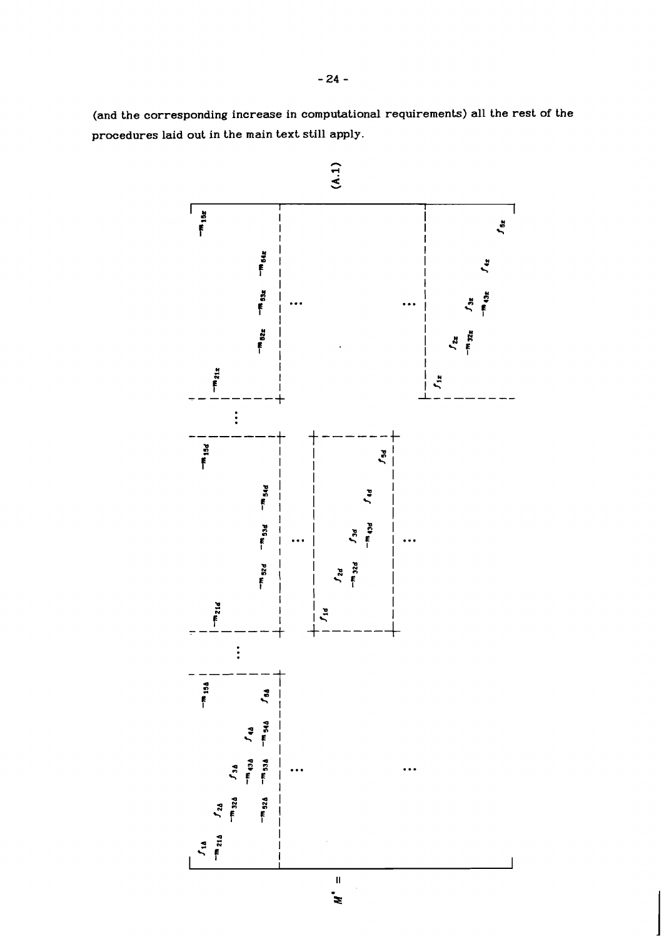**(and the corresponding increase in computational requirements) all the rest of the procedures laid out in the main text still apply.**